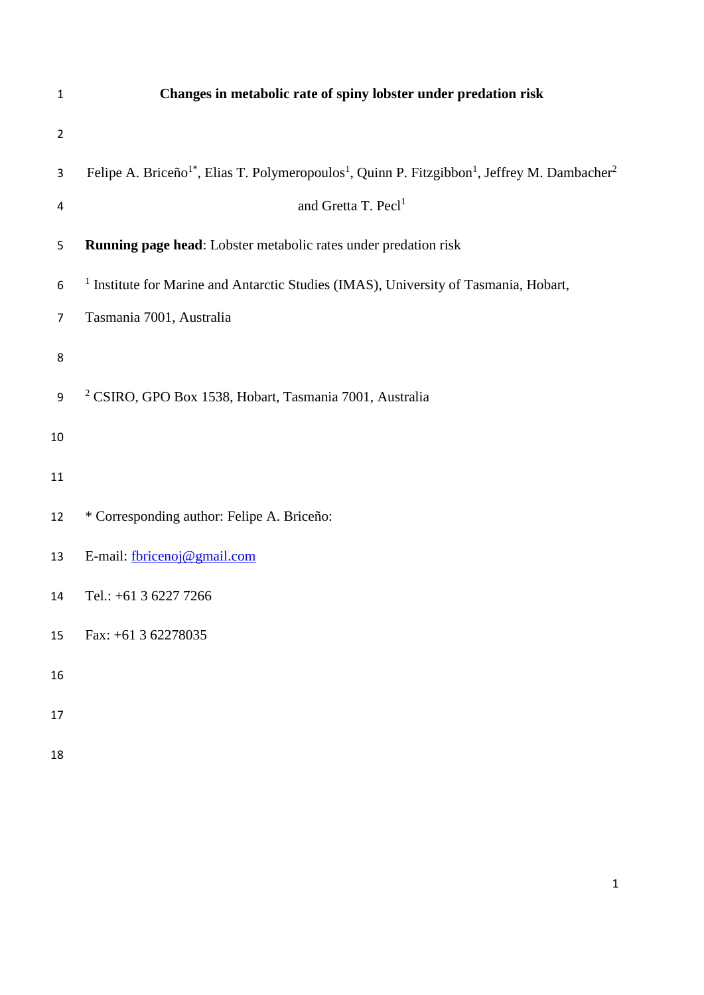| $\mathbf 1$    | Changes in metabolic rate of spiny lobster under predation risk                                                                               |  |  |  |  |  |
|----------------|-----------------------------------------------------------------------------------------------------------------------------------------------|--|--|--|--|--|
| $\overline{2}$ |                                                                                                                                               |  |  |  |  |  |
| 3              | Felipe A. Briceño <sup>1*</sup> , Elias T. Polymeropoulos <sup>1</sup> , Quinn P. Fitzgibbon <sup>1</sup> , Jeffrey M. Dambacher <sup>2</sup> |  |  |  |  |  |
| 4              | and Gretta T. Pecl <sup>1</sup>                                                                                                               |  |  |  |  |  |
| 5              | Running page head: Lobster metabolic rates under predation risk                                                                               |  |  |  |  |  |
| 6              | <sup>1</sup> Institute for Marine and Antarctic Studies (IMAS), University of Tasmania, Hobart,                                               |  |  |  |  |  |
| $\overline{7}$ | Tasmania 7001, Australia                                                                                                                      |  |  |  |  |  |
| 8              |                                                                                                                                               |  |  |  |  |  |
| 9              | <sup>2</sup> CSIRO, GPO Box 1538, Hobart, Tasmania 7001, Australia                                                                            |  |  |  |  |  |
| 10             |                                                                                                                                               |  |  |  |  |  |
| 11             |                                                                                                                                               |  |  |  |  |  |
| 12             | * Corresponding author: Felipe A. Briceño:                                                                                                    |  |  |  |  |  |
| 13             | E-mail: fbricenoj@gmail.com                                                                                                                   |  |  |  |  |  |
| 14             | Tel.: +61 3 6227 7266                                                                                                                         |  |  |  |  |  |
| 15             | Fax: $+61$ 3 62278035                                                                                                                         |  |  |  |  |  |
| 16             |                                                                                                                                               |  |  |  |  |  |
| 17             |                                                                                                                                               |  |  |  |  |  |
| 18             |                                                                                                                                               |  |  |  |  |  |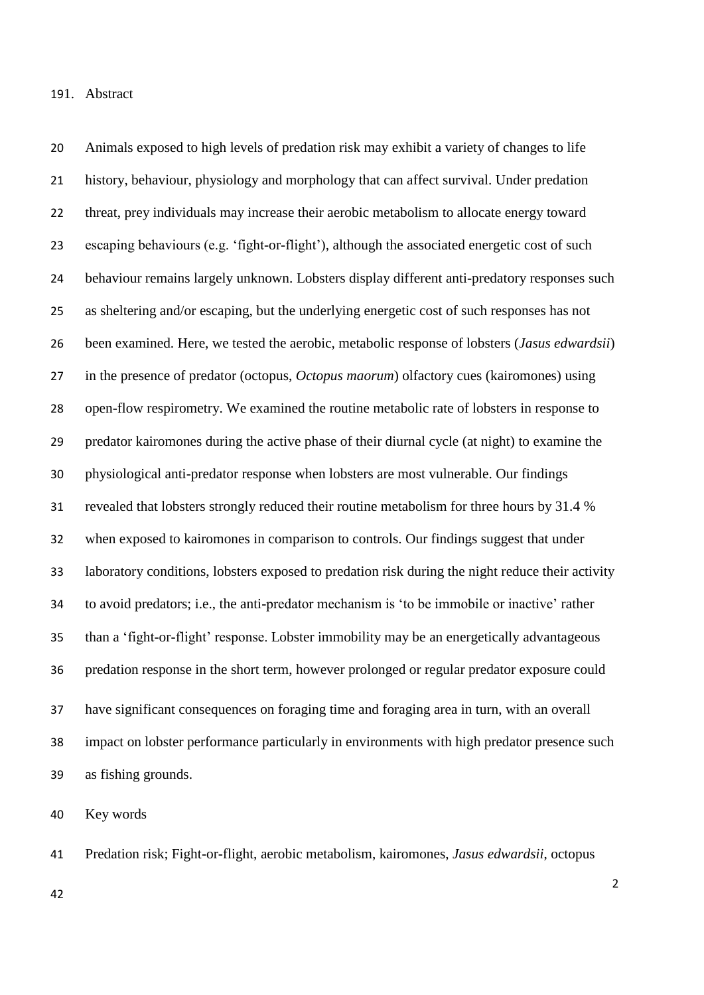1. Abstract

 Animals exposed to high levels of predation risk may exhibit a variety of changes to life history, behaviour, physiology and morphology that can affect survival. Under predation threat, prey individuals may increase their aerobic metabolism to allocate energy toward escaping behaviours (e.g. 'fight-or-flight'), although the associated energetic cost of such behaviour remains largely unknown. Lobsters display different anti-predatory responses such as sheltering and/or escaping, but the underlying energetic cost of such responses has not been examined. Here, we tested the aerobic, metabolic response of lobsters (*Jasus edwardsii*) in the presence of predator (octopus, *Octopus maorum*) olfactory cues (kairomones) using open-flow respirometry. We examined the routine metabolic rate of lobsters in response to predator kairomones during the active phase of their diurnal cycle (at night) to examine the physiological anti-predator response when lobsters are most vulnerable. Our findings revealed that lobsters strongly reduced their routine metabolism for three hours by 31.4 % when exposed to kairomones in comparison to controls. Our findings suggest that under laboratory conditions, lobsters exposed to predation risk during the night reduce their activity to avoid predators; i.e., the anti-predator mechanism is 'to be immobile or inactive' rather than a 'fight-or-flight' response. Lobster immobility may be an energetically advantageous predation response in the short term, however prolonged or regular predator exposure could have significant consequences on foraging time and foraging area in turn, with an overall impact on lobster performance particularly in environments with high predator presence such as fishing grounds.

Key words

Predation risk; Fight-or-flight, aerobic metabolism, kairomones, *Jasus edwardsii*, octopus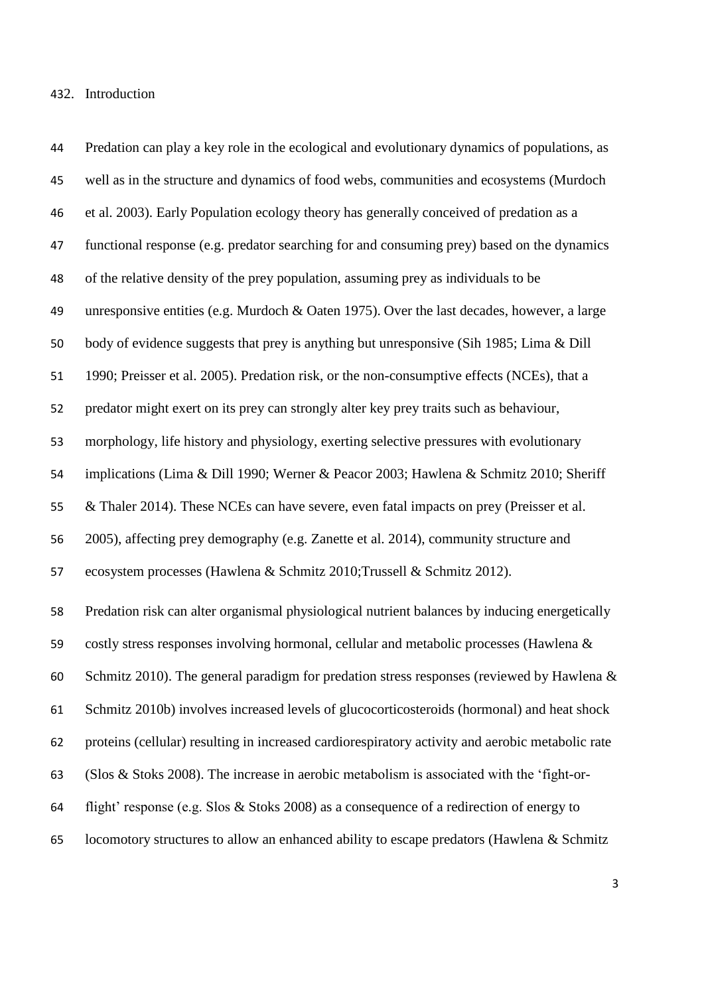#### 2. Introduction

 Predation can play a key role in the ecological and evolutionary dynamics of populations, as well as in the structure and dynamics of food webs, communities and ecosystems (Murdoch et al. 2003). Early Population ecology theory has generally conceived of predation as a functional response (e.g. predator searching for and consuming prey) based on the dynamics of the relative density of the prey population, assuming prey as individuals to be unresponsive entities (e.g. Murdoch & Oaten 1975). Over the last decades, however, a large body of evidence suggests that prey is anything but unresponsive (Sih 1985; Lima & Dill 1990; Preisser et al. 2005). Predation risk, or the non-consumptive effects (NCEs), that a predator might exert on its prey can strongly alter key prey traits such as behaviour, morphology, life history and physiology, exerting selective pressures with evolutionary implications (Lima & Dill 1990; Werner & Peacor 2003; Hawlena & Schmitz 2010; Sheriff & Thaler 2014). These NCEs can have severe, even fatal impacts on prey (Preisser et al. 2005), affecting prey demography (e.g. Zanette et al. 2014), community structure and ecosystem processes (Hawlena & Schmitz 2010;Trussell & Schmitz 2012). Predation risk can alter organismal physiological nutrient balances by inducing energetically costly stress responses involving hormonal, cellular and metabolic processes (Hawlena & Schmitz 2010). The general paradigm for predation stress responses (reviewed by Hawlena & Schmitz 2010b) involves increased levels of glucocorticosteroids (hormonal) and heat shock proteins (cellular) resulting in increased cardiorespiratory activity and aerobic metabolic rate (Slos & Stoks 2008). The increase in aerobic metabolism is associated with the 'fight-or- flight' response (e.g. Slos & Stoks 2008) as a consequence of a redirection of energy to locomotory structures to allow an enhanced ability to escape predators (Hawlena & Schmitz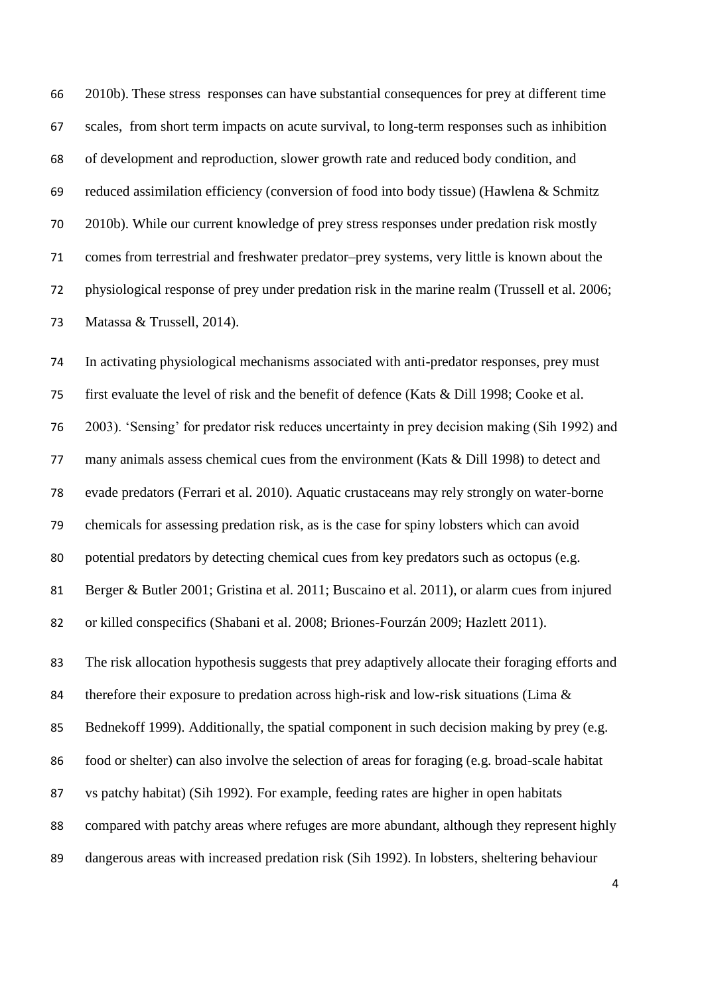2010b). These stress responses can have substantial consequences for prey at different time scales, from short term impacts on acute survival, to long-term responses such as inhibition of development and reproduction, slower growth rate and reduced body condition, and reduced assimilation efficiency (conversion of food into body tissue) (Hawlena & Schmitz 2010b). While our current knowledge of prey stress responses under predation risk mostly comes from terrestrial and freshwater predator–prey systems, very little is known about the physiological response of prey under predation risk in the marine realm (Trussell et al. 2006; Matassa & Trussell, 2014).

 In activating physiological mechanisms associated with anti-predator responses, prey must first evaluate the level of risk and the benefit of defence (Kats & Dill 1998; Cooke et al. 2003). 'Sensing' for predator risk reduces uncertainty in prey decision making (Sih 1992) and many animals assess chemical cues from the environment (Kats & Dill 1998) to detect and evade predators (Ferrari et al. 2010). Aquatic crustaceans may rely strongly on water-borne chemicals for assessing predation risk, as is the case for spiny lobsters which can avoid potential predators by detecting chemical cues from key predators such as octopus (e.g. Berger & Butler 2001; Gristina et al. 2011; Buscaino et al. 2011), or alarm cues from injured or killed conspecifics (Shabani et al. 2008; Briones-Fourzán 2009; Hazlett 2011). The risk allocation hypothesis suggests that prey adaptively allocate their foraging efforts and therefore their exposure to predation across high-risk and low-risk situations (Lima & 85 Bednekoff 1999). Additionally, the spatial component in such decision making by prey (e.g. food or shelter) can also involve the selection of areas for foraging (e.g. broad-scale habitat vs patchy habitat) (Sih 1992). For example, feeding rates are higher in open habitats compared with patchy areas where refuges are more abundant, although they represent highly dangerous areas with increased predation risk (Sih 1992). In lobsters, sheltering behaviour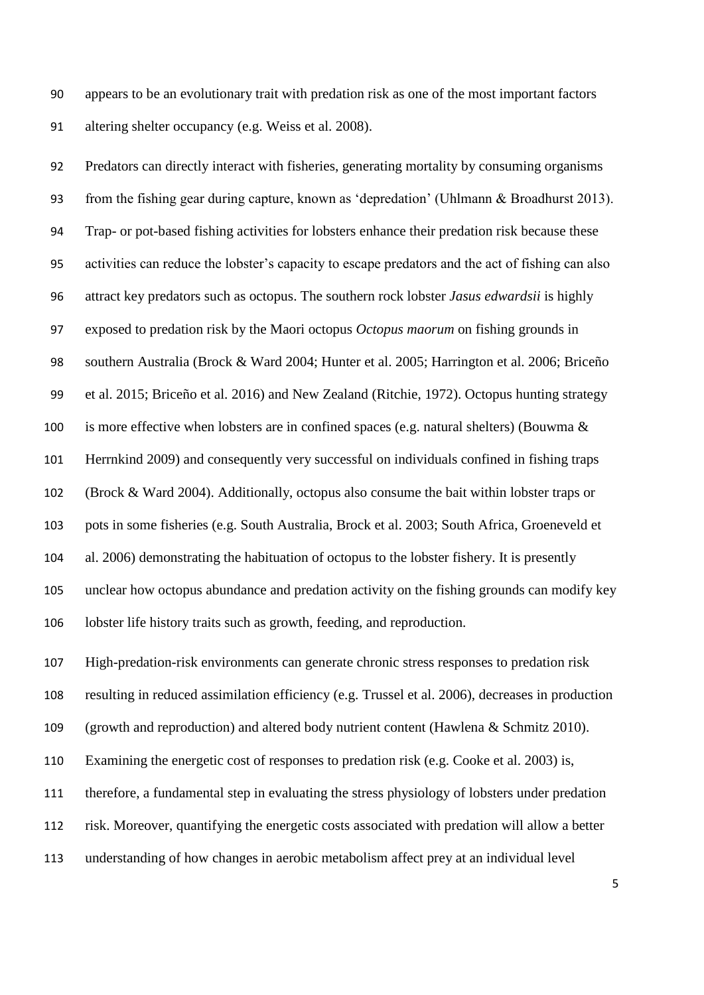appears to be an evolutionary trait with predation risk as one of the most important factors altering shelter occupancy (e.g. Weiss et al. 2008).

 Predators can directly interact with fisheries, generating mortality by consuming organisms from the fishing gear during capture, known as 'depredation' (Uhlmann & Broadhurst 2013). Trap- or pot-based fishing activities for lobsters enhance their predation risk because these activities can reduce the lobster's capacity to escape predators and the act of fishing can also attract key predators such as octopus. The southern rock lobster *Jasus edwardsii* is highly exposed to predation risk by the Maori octopus *Octopus maorum* on fishing grounds in southern Australia (Brock & Ward 2004; Hunter et al. 2005; Harrington et al. 2006; Briceño et al. 2015; Briceño et al. 2016) and New Zealand (Ritchie, 1972). Octopus hunting strategy 100 is more effective when lobsters are in confined spaces (e.g. natural shelters) (Bouwma  $\&$  Herrnkind 2009) and consequently very successful on individuals confined in fishing traps (Brock & Ward 2004). Additionally, octopus also consume the bait within lobster traps or pots in some fisheries (e.g. South Australia, Brock et al. 2003; South Africa, Groeneveld et al. 2006) demonstrating the habituation of octopus to the lobster fishery. It is presently unclear how octopus abundance and predation activity on the fishing grounds can modify key lobster life history traits such as growth, feeding, and reproduction.

 High-predation-risk environments can generate chronic stress responses to predation risk resulting in reduced assimilation efficiency (e.g. Trussel et al. 2006), decreases in production

(growth and reproduction) and altered body nutrient content (Hawlena & Schmitz 2010).

Examining the energetic cost of responses to predation risk (e.g. Cooke et al. 2003) is,

therefore, a fundamental step in evaluating the stress physiology of lobsters under predation

risk. Moreover, quantifying the energetic costs associated with predation will allow a better

understanding of how changes in aerobic metabolism affect prey at an individual level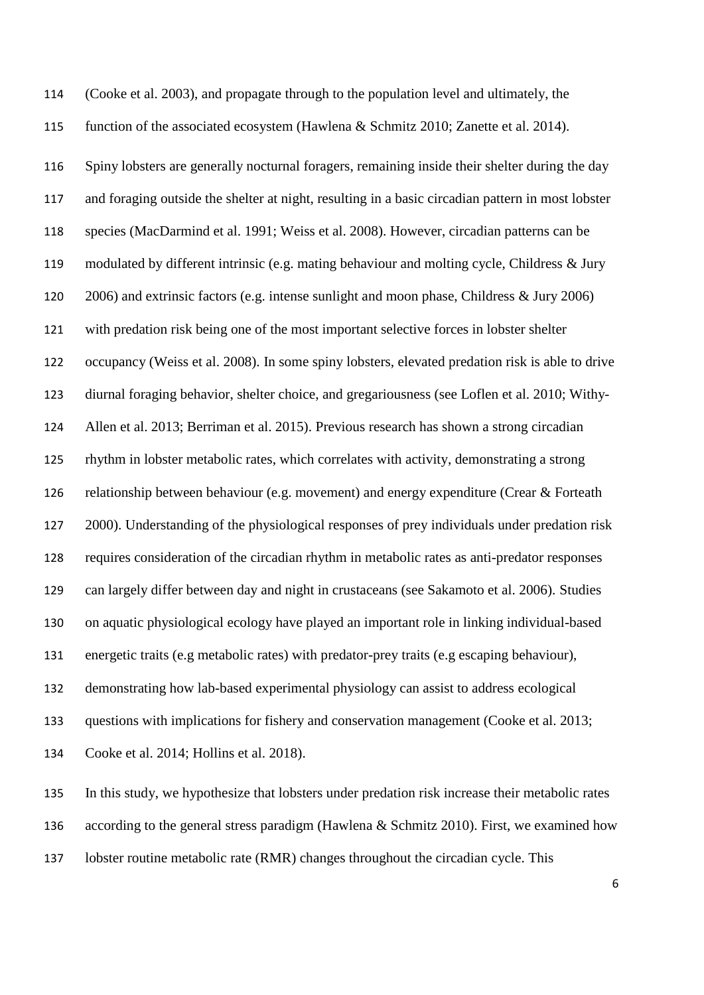function of the associated ecosystem (Hawlena & Schmitz 2010; Zanette et al. 2014). Spiny lobsters are generally nocturnal foragers, remaining inside their shelter during the day and foraging outside the shelter at night, resulting in a basic circadian pattern in most lobster species (MacDarmind et al. 1991; Weiss et al. 2008). However, circadian patterns can be modulated by different intrinsic (e.g. mating behaviour and molting cycle, Childress & Jury 2006) and extrinsic factors (e.g. intense sunlight and moon phase, Childress & Jury 2006) with predation risk being one of the most important selective forces in lobster shelter occupancy (Weiss et al. 2008). In some spiny lobsters, elevated predation risk is able to drive diurnal foraging behavior, shelter choice, and gregariousness (see Loflen et al. 2010; Withy- Allen et al. 2013; Berriman et al. 2015). Previous research has shown a strong circadian rhythm in lobster metabolic rates, which correlates with activity, demonstrating a strong relationship between behaviour (e.g. movement) and energy expenditure (Crear & Forteath 2000). Understanding of the physiological responses of prey individuals under predation risk requires consideration of the circadian rhythm in metabolic rates as anti-predator responses can largely differ between day and night in crustaceans (see Sakamoto et al. 2006). Studies on aquatic physiological ecology have played an important role in linking individual-based energetic traits (e.g metabolic rates) with predator-prey traits (e.g escaping behaviour), demonstrating how lab-based experimental physiology can assist to address ecological questions with implications for fishery and conservation management (Cooke et al. 2013; Cooke et al. 2014; Hollins et al. 2018). In this study, we hypothesize that lobsters under predation risk increase their metabolic rates

(Cooke et al. 2003), and propagate through to the population level and ultimately, the

lobster routine metabolic rate (RMR) changes throughout the circadian cycle. This

according to the general stress paradigm (Hawlena & Schmitz 2010). First, we examined how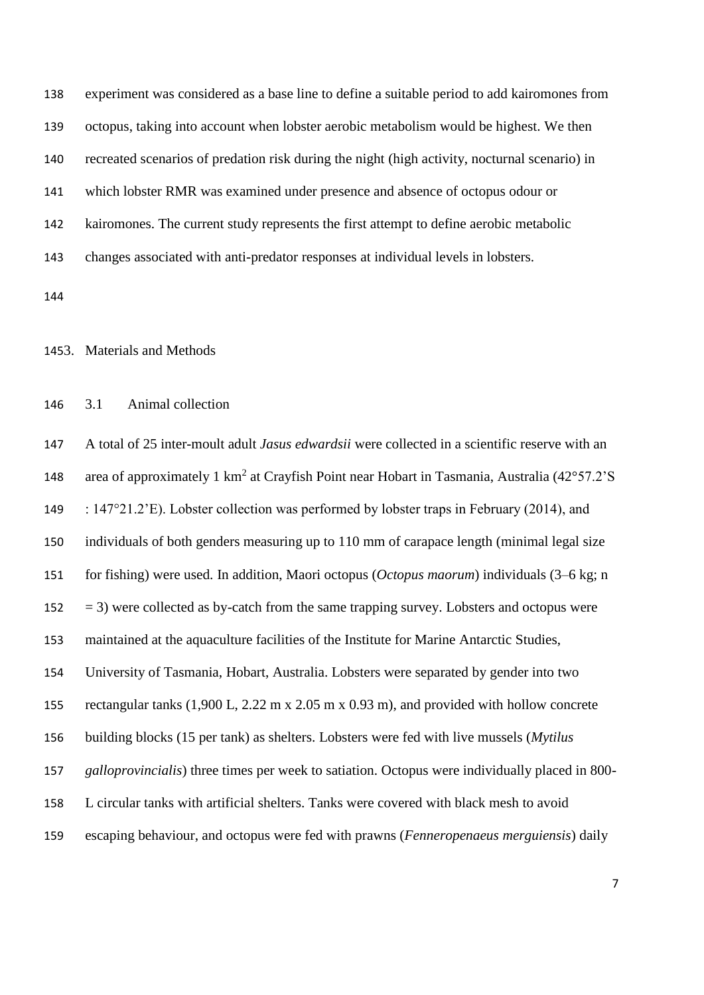experiment was considered as a base line to define a suitable period to add kairomones from octopus, taking into account when lobster aerobic metabolism would be highest. We then recreated scenarios of predation risk during the night (high activity, nocturnal scenario) in which lobster RMR was examined under presence and absence of octopus odour or kairomones. The current study represents the first attempt to define aerobic metabolic changes associated with anti-predator responses at individual levels in lobsters. 

3. Materials and Methods

## 3.1 Animal collection

 A total of 25 inter-moult adult *Jasus edwardsii* were collected in a scientific reserve with an 148 area of approximately 1 km<sup>2</sup> at Crayfish Point near Hobart in Tasmania, Australia (42°57.2'S 149 : 147°21.2'E). Lobster collection was performed by lobster traps in February (2014), and individuals of both genders measuring up to 110 mm of carapace length (minimal legal size for fishing) were used. In addition, Maori octopus (*Octopus maorum*) individuals (3–6 kg; n  $152 = 3$ ) were collected as by-catch from the same trapping survey. Lobsters and octopus were maintained at the aquaculture facilities of the Institute for Marine Antarctic Studies, University of Tasmania, Hobart, Australia. Lobsters were separated by gender into two rectangular tanks (1,900 L, 2.22 m x 2.05 m x 0.93 m), and provided with hollow concrete building blocks (15 per tank) as shelters. Lobsters were fed with live mussels (*Mytilus galloprovincialis*) three times per week to satiation. Octopus were individually placed in 800- L circular tanks with artificial shelters. Tanks were covered with black mesh to avoid escaping behaviour, and octopus were fed with prawns (*Fenneropenaeus merguiensis*) daily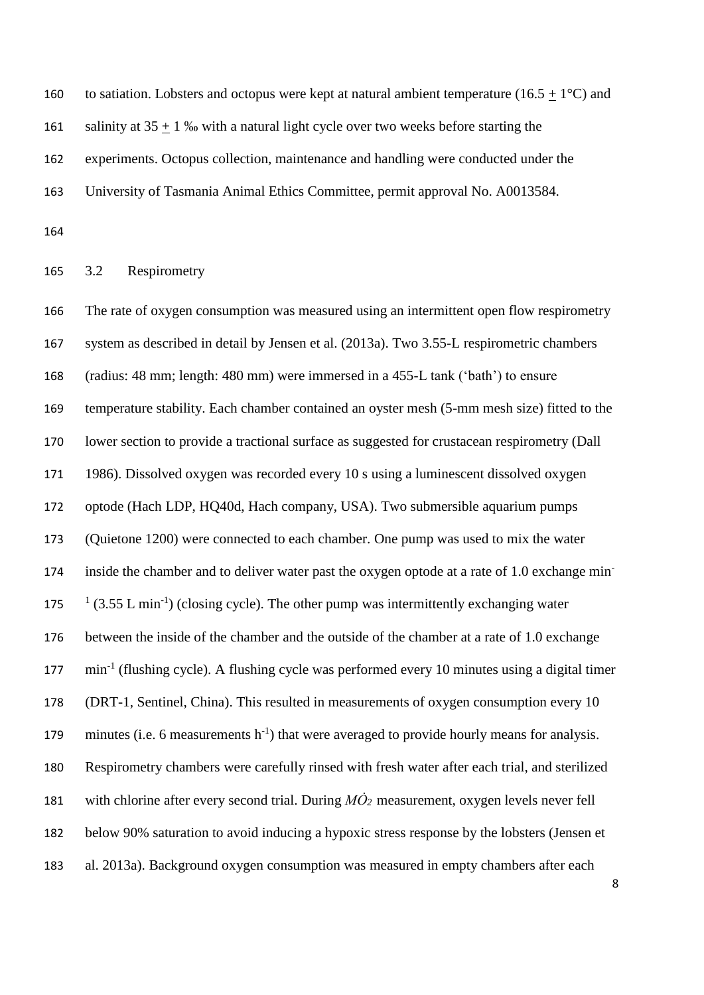160 to satiation. Lobsters and octopus were kept at natural ambient temperature (16.5 + 1 $^{\circ}$ C) and 161 salinity at  $35 + 1$  % with a natural light cycle over two weeks before starting the experiments. Octopus collection, maintenance and handling were conducted under the

University of Tasmania Animal Ethics Committee, permit approval No. A0013584.

# 3.2 Respirometry

 The rate of oxygen consumption was measured using an intermittent open flow respirometry system as described in detail by Jensen et al. (2013a). Two 3.55-L respirometric chambers (radius: 48 mm; length: 480 mm) were immersed in a 455-L tank ('bath') to ensure temperature stability. Each chamber contained an oyster mesh (5-mm mesh size) fitted to the lower section to provide a tractional surface as suggested for crustacean respirometry (Dall 1986). Dissolved oxygen was recorded every 10 s using a luminescent dissolved oxygen optode (Hach LDP, HQ40d, Hach company, USA). Two submersible aquarium pumps (Quietone 1200) were connected to each chamber. One pump was used to mix the water inside the chamber and to deliver water past the oxygen optode at a rate of 1.0 exchange min-  $\frac{1}{3.55}$  L min<sup>-1</sup>) (closing cycle). The other pump was intermittently exchanging water between the inside of the chamber and the outside of the chamber at a rate of 1.0 exchange 177 min<sup>-1</sup> (flushing cycle). A flushing cycle was performed every 10 minutes using a digital timer (DRT-1, Sentinel, China). This resulted in measurements of oxygen consumption every 10 179 minutes (i.e. 6 measurements  $h^{-1}$ ) that were averaged to provide hourly means for analysis. Respirometry chambers were carefully rinsed with fresh water after each trial, and sterilized 181 with chlorine after every second trial. During  $M\dot{O}_2$  measurement, oxygen levels never fell below 90% saturation to avoid inducing a hypoxic stress response by the lobsters (Jensen et al. 2013a). Background oxygen consumption was measured in empty chambers after each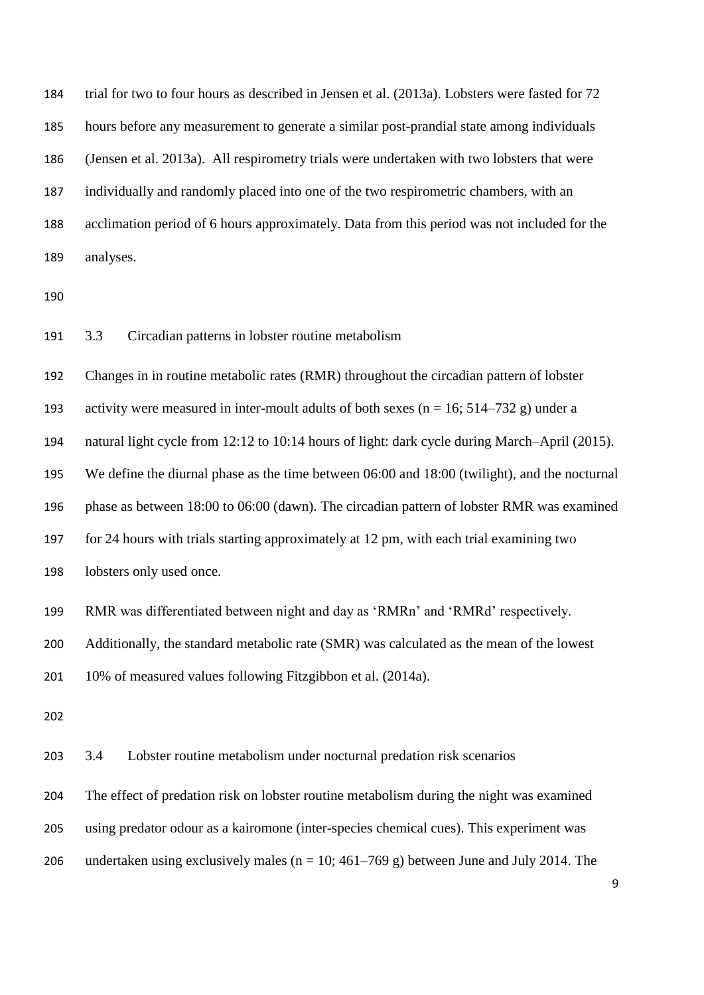trial for two to four hours as described in Jensen et al. (2013a). Lobsters were fasted for 72 hours before any measurement to generate a similar post-prandial state among individuals (Jensen et al. 2013a). All respirometry trials were undertaken with two lobsters that were individually and randomly placed into one of the two respirometric chambers, with an acclimation period of 6 hours approximately. Data from this period was not included for the analyses.

3.3 Circadian patterns in lobster routine metabolism

Changes in in routine metabolic rates (RMR) throughout the circadian pattern of lobster

193 activity were measured in inter-moult adults of both sexes ( $n = 16$ ; 514–732 g) under a

natural light cycle from 12:12 to 10:14 hours of light: dark cycle during March–April (2015).

We define the diurnal phase as the time between 06:00 and 18:00 (twilight), and the nocturnal

phase as between 18:00 to 06:00 (dawn). The circadian pattern of lobster RMR was examined

for 24 hours with trials starting approximately at 12 pm, with each trial examining two

lobsters only used once.

RMR was differentiated between night and day as 'RMRn' and 'RMRd' respectively.

Additionally, the standard metabolic rate (SMR) was calculated as the mean of the lowest

10% of measured values following Fitzgibbon et al. (2014a).

3.4 Lobster routine metabolism under nocturnal predation risk scenarios

The effect of predation risk on lobster routine metabolism during the night was examined

using predator odour as a kairomone (inter-species chemical cues). This experiment was

206 undertaken using exclusively males ( $n = 10$ ; 461–769 g) between June and July 2014. The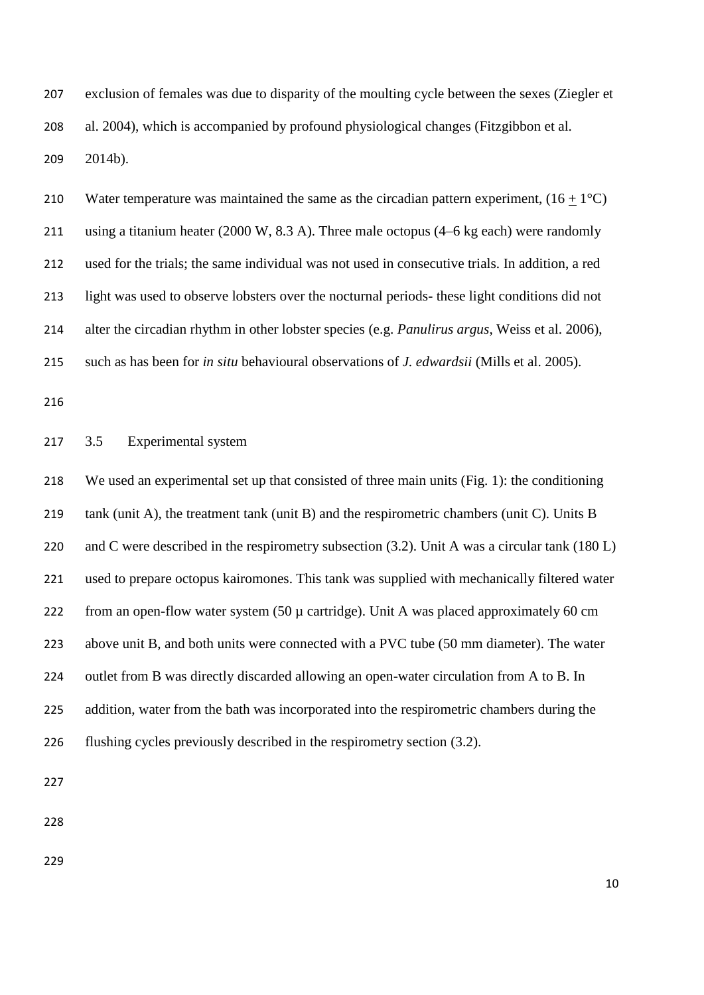exclusion of females was due to disparity of the moulting cycle between the sexes (Ziegler et al. 2004), which is accompanied by profound physiological changes (Fitzgibbon et al. 2014b).

210 Water temperature was maintained the same as the circadian pattern experiment,  $(16 + 1^{\circ}C)$  using a titanium heater (2000 W, 8.3 A). Three male octopus (4–6 kg each) were randomly used for the trials; the same individual was not used in consecutive trials. In addition, a red light was used to observe lobsters over the nocturnal periods- these light conditions did not alter the circadian rhythm in other lobster species (e.g. *Panulirus argus*, Weiss et al. 2006), such as has been for *in situ* behavioural observations of *J. edwardsii* (Mills et al. 2005).

## 3.5 Experimental system

 We used an experimental set up that consisted of three main units (Fig. 1): the conditioning 219 tank (unit A), the treatment tank (unit B) and the respirometric chambers (unit C). Units B 220 and C were described in the respirometry subsection (3.2). Unit A was a circular tank (180 L) used to prepare octopus kairomones. This tank was supplied with mechanically filtered water from an open-flow water system (50 µ cartridge). Unit A was placed approximately 60 cm above unit B, and both units were connected with a PVC tube (50 mm diameter). The water 224 outlet from B was directly discarded allowing an open-water circulation from A to B. In addition, water from the bath was incorporated into the respirometric chambers during the flushing cycles previously described in the respirometry section (3.2).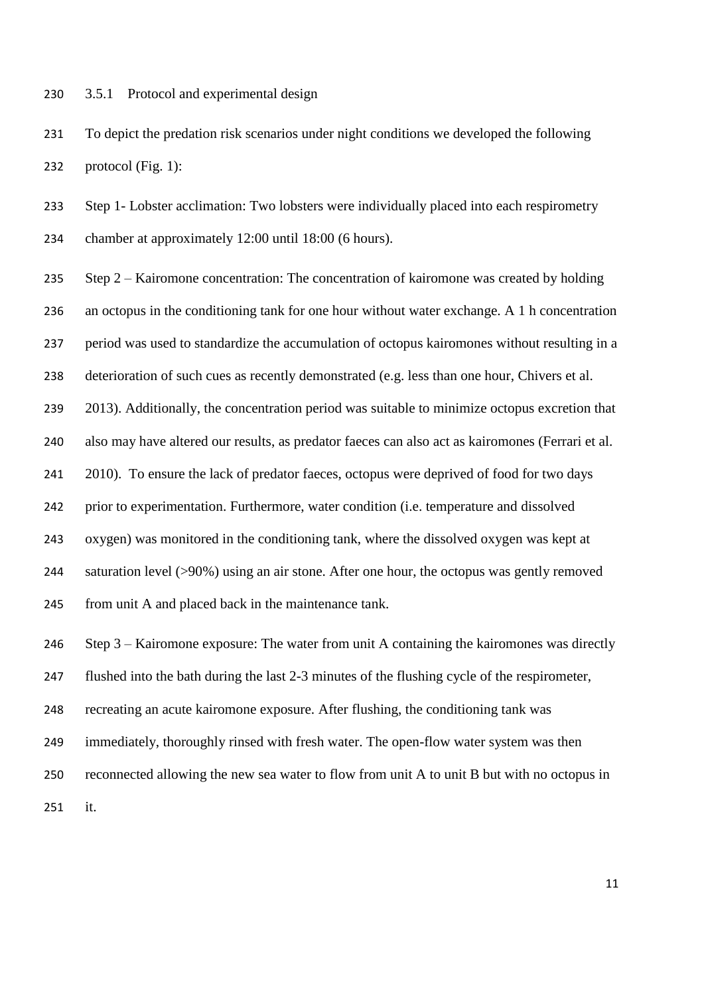3.5.1 Protocol and experimental design

 To depict the predation risk scenarios under night conditions we developed the following protocol (Fig. 1):

 Step 1- Lobster acclimation: Two lobsters were individually placed into each respirometry chamber at approximately 12:00 until 18:00 (6 hours).

 Step 2 – Kairomone concentration: The concentration of kairomone was created by holding an octopus in the conditioning tank for one hour without water exchange. A 1 h concentration period was used to standardize the accumulation of octopus kairomones without resulting in a deterioration of such cues as recently demonstrated (e.g. less than one hour, Chivers et al. 239 2013). Additionally, the concentration period was suitable to minimize octopus excretion that also may have altered our results, as predator faeces can also act as kairomones (Ferrari et al. 2010). To ensure the lack of predator faeces, octopus were deprived of food for two days prior to experimentation. Furthermore, water condition (i.e. temperature and dissolved oxygen) was monitored in the conditioning tank, where the dissolved oxygen was kept at saturation level (>90%) using an air stone. After one hour, the octopus was gently removed from unit A and placed back in the maintenance tank.

Step 3 – Kairomone exposure: The water from unit A containing the kairomones was directly

flushed into the bath during the last 2-3 minutes of the flushing cycle of the respirometer,

recreating an acute kairomone exposure. After flushing, the conditioning tank was

immediately, thoroughly rinsed with fresh water. The open-flow water system was then

reconnected allowing the new sea water to flow from unit A to unit B but with no octopus in

it.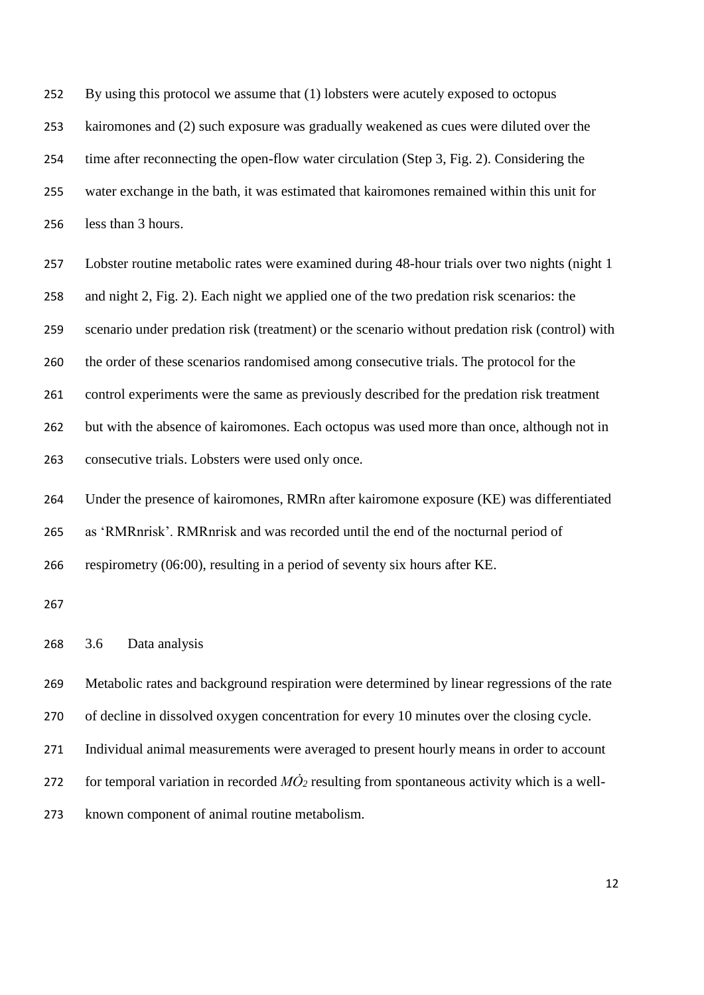By using this protocol we assume that (1) lobsters were acutely exposed to octopus kairomones and (2) such exposure was gradually weakened as cues were diluted over the time after reconnecting the open-flow water circulation (Step 3, Fig. 2). Considering the water exchange in the bath, it was estimated that kairomones remained within this unit for less than 3 hours.

 Lobster routine metabolic rates were examined during 48-hour trials over two nights (night 1 and night 2, Fig. 2). Each night we applied one of the two predation risk scenarios: the scenario under predation risk (treatment) or the scenario without predation risk (control) with the order of these scenarios randomised among consecutive trials. The protocol for the control experiments were the same as previously described for the predation risk treatment but with the absence of kairomones. Each octopus was used more than once, although not in consecutive trials. Lobsters were used only once.

 Under the presence of kairomones, RMRn after kairomone exposure (KE) was differentiated as 'RMRnrisk'. RMRnrisk and was recorded until the end of the nocturnal period of respirometry (06:00), resulting in a period of seventy six hours after KE.

3.6 Data analysis

 Metabolic rates and background respiration were determined by linear regressions of the rate of decline in dissolved oxygen concentration for every 10 minutes over the closing cycle. Individual animal measurements were averaged to present hourly means in order to account 272 for temporal variation in recorded  $M\dot{O}_2$  resulting from spontaneous activity which is a well-known component of animal routine metabolism.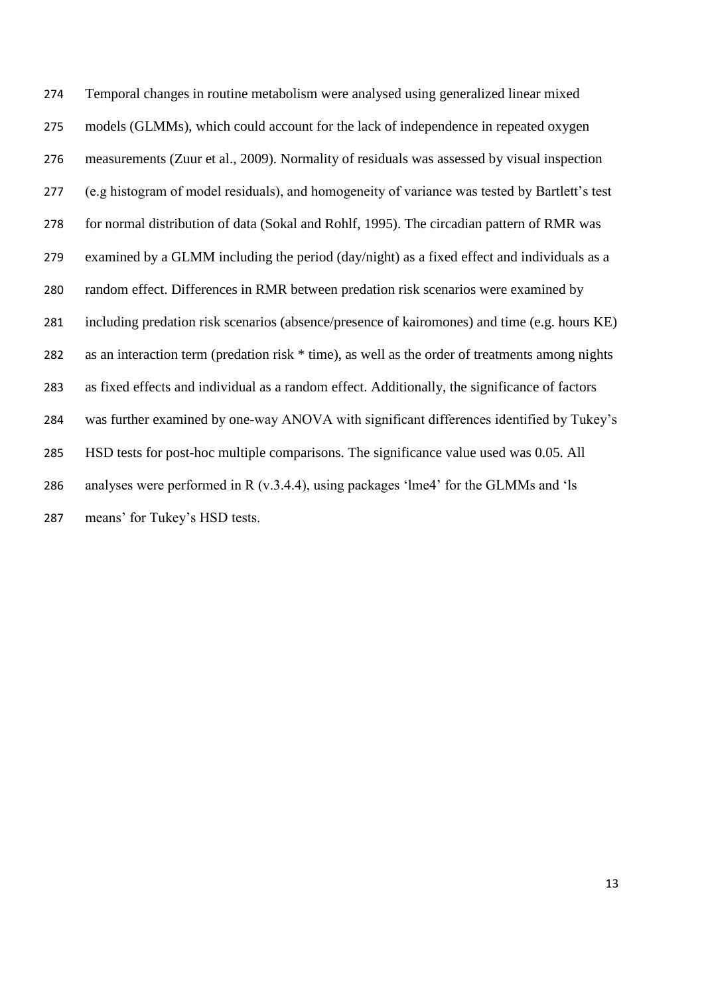Temporal changes in routine metabolism were analysed using generalized linear mixed models (GLMMs), which could account for the lack of independence in repeated oxygen measurements (Zuur et al., 2009). Normality of residuals was assessed by visual inspection (e.g histogram of model residuals), and homogeneity of variance was tested by Bartlett's test for normal distribution of data (Sokal and Rohlf, 1995). The circadian pattern of RMR was examined by a GLMM including the period (day/night) as a fixed effect and individuals as a random effect. Differences in RMR between predation risk scenarios were examined by including predation risk scenarios (absence/presence of kairomones) and time (e.g. hours KE) as an interaction term (predation risk \* time), as well as the order of treatments among nights as fixed effects and individual as a random effect. Additionally, the significance of factors was further examined by one-way ANOVA with significant differences identified by Tukey's HSD tests for post-hoc multiple comparisons. The significance value used was 0.05. All analyses were performed in R (v.3.4.4), using packages 'lme4' for the GLMMs and 'ls means' for Tukey's HSD tests.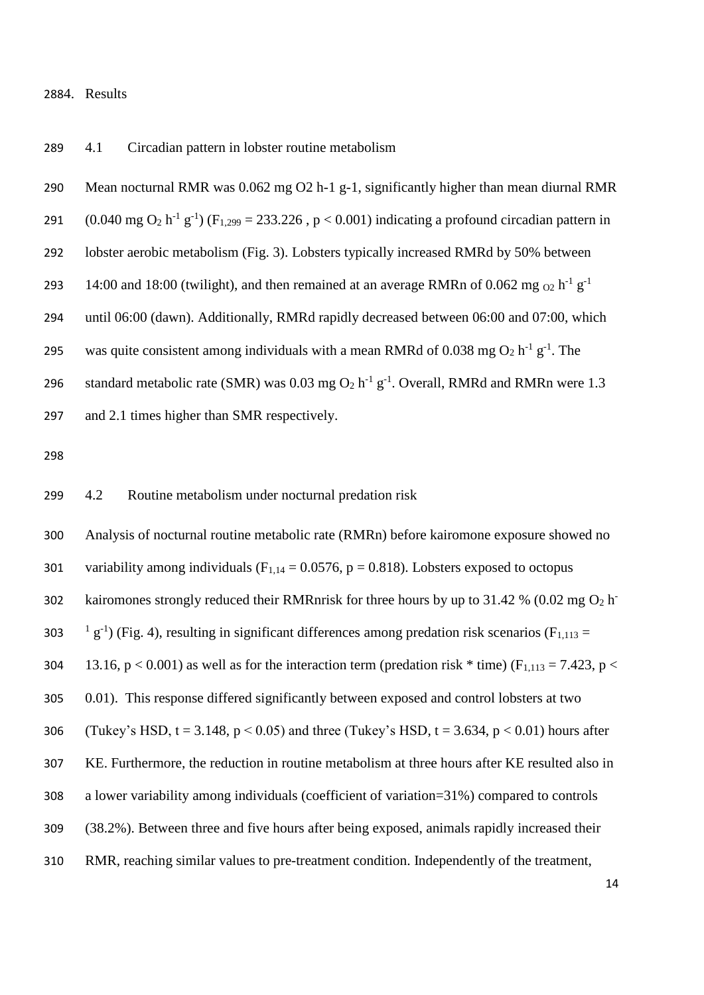#### 4. Results

4.1 Circadian pattern in lobster routine metabolism

 Mean nocturnal RMR was 0.062 mg O2 h-1 g-1, significantly higher than mean diurnal RMR 291 (0.040 mg O<sub>2</sub> h<sup>-1</sup> g<sup>-1</sup>) (F<sub>1,299</sub> = 233,226, p < 0.001) indicating a profound circadian pattern in lobster aerobic metabolism (Fig. 3). Lobsters typically increased RMRd by 50% between 14:00 and 18:00 (twilight), and then remained at an average RMRn of 0.062 mg  $_{02}$  h<sup>-1</sup> g<sup>-1</sup> until 06:00 (dawn). Additionally, RMRd rapidly decreased between 06:00 and 07:00, which 295 was quite consistent among individuals with a mean RMRd of 0.038 mg  $O_2$  h<sup>-1</sup> g<sup>-1</sup>. The 296 standard metabolic rate (SMR) was 0.03 mg  $O_2$  h<sup>-1</sup> g<sup>-1</sup>. Overall, RMRd and RMRn were 1.3 and 2.1 times higher than SMR respectively.

4.2 Routine metabolism under nocturnal predation risk

 Analysis of nocturnal routine metabolic rate (RMRn) before kairomone exposure showed no 301 variability among individuals ( $F_{1,14} = 0.0576$ ,  $p = 0.818$ ). Lobsters exposed to octopus kairomones strongly reduced their RMRnrisk for three hours by up to 31.42 % (0.02 mg  $O_2$  h 303  $\frac{1}{2}$  g<sup>-1</sup>) (Fig. 4), resulting in significant differences among predation risk scenarios (F<sub>1,113</sub> = 304 13.16, p < 0.001) as well as for the interaction term (predation risk  $*$  time) (F<sub>1,113</sub> = 7.423, p < 0.01). This response differed significantly between exposed and control lobsters at two 306 (Tukey's HSD,  $t = 3.148$ ,  $p < 0.05$ ) and three (Tukey's HSD,  $t = 3.634$ ,  $p < 0.01$ ) hours after KE. Furthermore, the reduction in routine metabolism at three hours after KE resulted also in a lower variability among individuals (coefficient of variation=31%) compared to controls (38.2%). Between three and five hours after being exposed, animals rapidly increased their RMR, reaching similar values to pre-treatment condition. Independently of the treatment,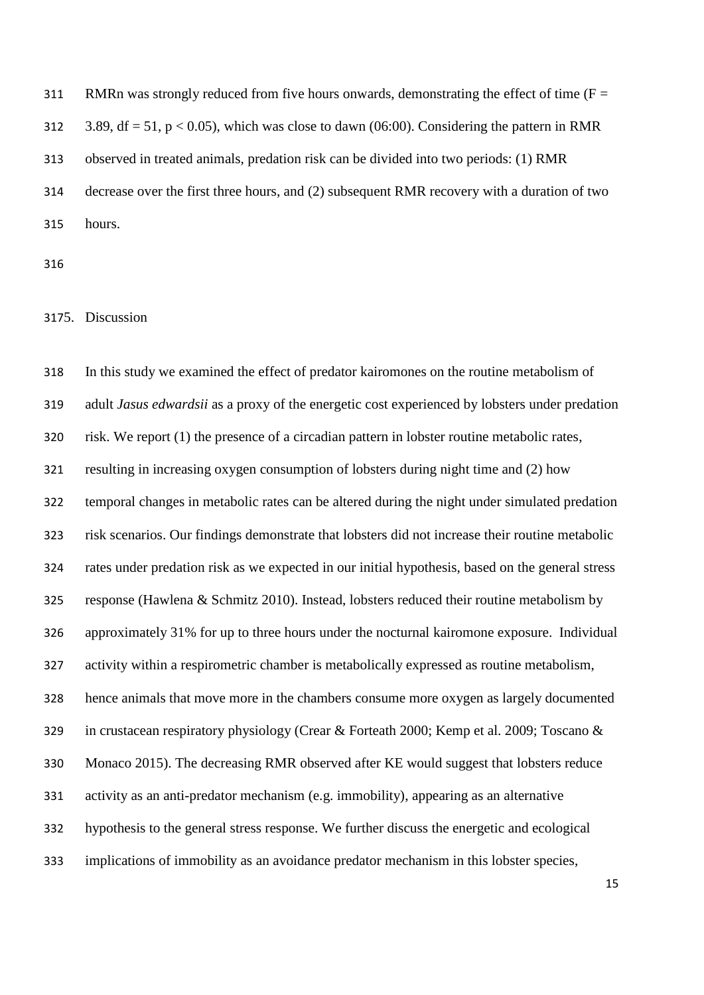311 RMRn was strongly reduced from five hours onwards, demonstrating the effect of time ( $F =$ 312 3.89, df = 51, p < 0.05), which was close to dawn (06:00). Considering the pattern in RMR observed in treated animals, predation risk can be divided into two periods: (1) RMR decrease over the first three hours, and (2) subsequent RMR recovery with a duration of two hours.

# 5. Discussion

 In this study we examined the effect of predator kairomones on the routine metabolism of adult *Jasus edwardsii* as a proxy of the energetic cost experienced by lobsters under predation risk. We report (1) the presence of a circadian pattern in lobster routine metabolic rates, resulting in increasing oxygen consumption of lobsters during night time and (2) how temporal changes in metabolic rates can be altered during the night under simulated predation risk scenarios. Our findings demonstrate that lobsters did not increase their routine metabolic rates under predation risk as we expected in our initial hypothesis, based on the general stress response (Hawlena & Schmitz 2010). Instead, lobsters reduced their routine metabolism by approximately 31% for up to three hours under the nocturnal kairomone exposure. Individual activity within a respirometric chamber is metabolically expressed as routine metabolism, hence animals that move more in the chambers consume more oxygen as largely documented in crustacean respiratory physiology (Crear & Forteath 2000; Kemp et al. 2009; Toscano & Monaco 2015). The decreasing RMR observed after KE would suggest that lobsters reduce activity as an anti-predator mechanism (e.g. immobility), appearing as an alternative hypothesis to the general stress response. We further discuss the energetic and ecological implications of immobility as an avoidance predator mechanism in this lobster species,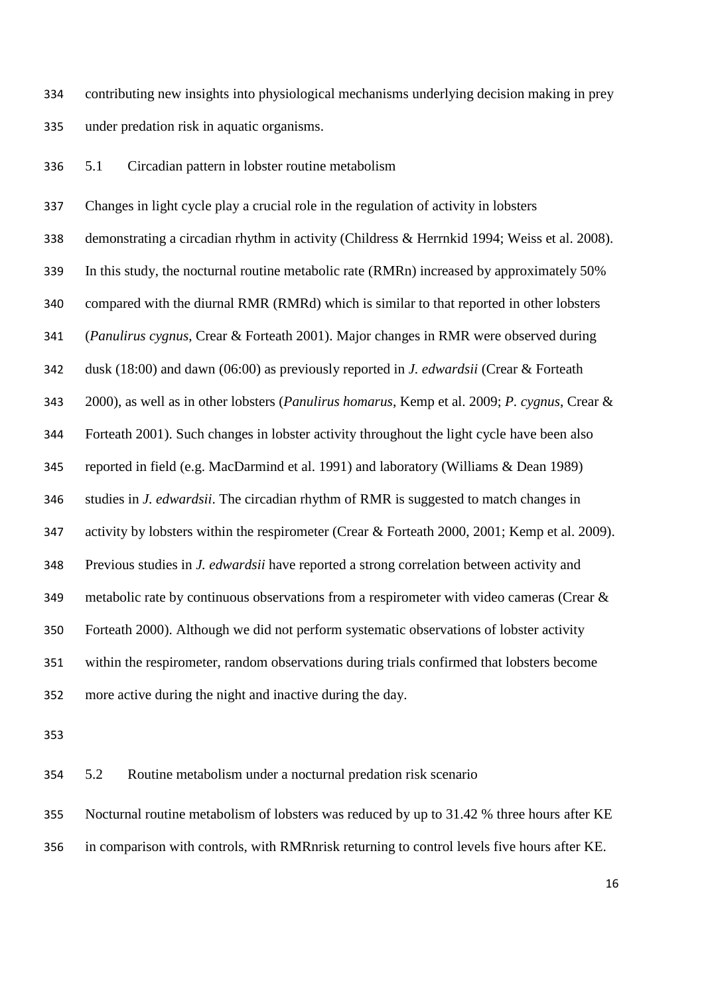contributing new insights into physiological mechanisms underlying decision making in prey under predation risk in aquatic organisms.

5.1 Circadian pattern in lobster routine metabolism

 Changes in light cycle play a crucial role in the regulation of activity in lobsters demonstrating a circadian rhythm in activity (Childress & Herrnkid 1994; Weiss et al. 2008). In this study, the nocturnal routine metabolic rate (RMRn) increased by approximately 50% compared with the diurnal RMR (RMRd) which is similar to that reported in other lobsters (*Panulirus cygnus*, Crear & Forteath 2001). Major changes in RMR were observed during dusk (18:00) and dawn (06:00) as previously reported in *J. edwardsii* (Crear & Forteath 2000), as well as in other lobsters (*Panulirus homarus*, Kemp et al. 2009; *P. cygnus*, Crear & Forteath 2001). Such changes in lobster activity throughout the light cycle have been also reported in field (e.g. MacDarmind et al. 1991) and laboratory (Williams & Dean 1989) studies in *J. edwardsii*. The circadian rhythm of RMR is suggested to match changes in 347 activity by lobsters within the respirometer (Crear & Forteath 2000, 2001; Kemp et al. 2009). Previous studies in *J. edwardsii* have reported a strong correlation between activity and 349 metabolic rate by continuous observations from a respirometer with video cameras (Crear & Forteath 2000). Although we did not perform systematic observations of lobster activity within the respirometer, random observations during trials confirmed that lobsters become more active during the night and inactive during the day.

5.2 Routine metabolism under a nocturnal predation risk scenario

 Nocturnal routine metabolism of lobsters was reduced by up to 31.42 % three hours after KE in comparison with controls, with RMRnrisk returning to control levels five hours after KE.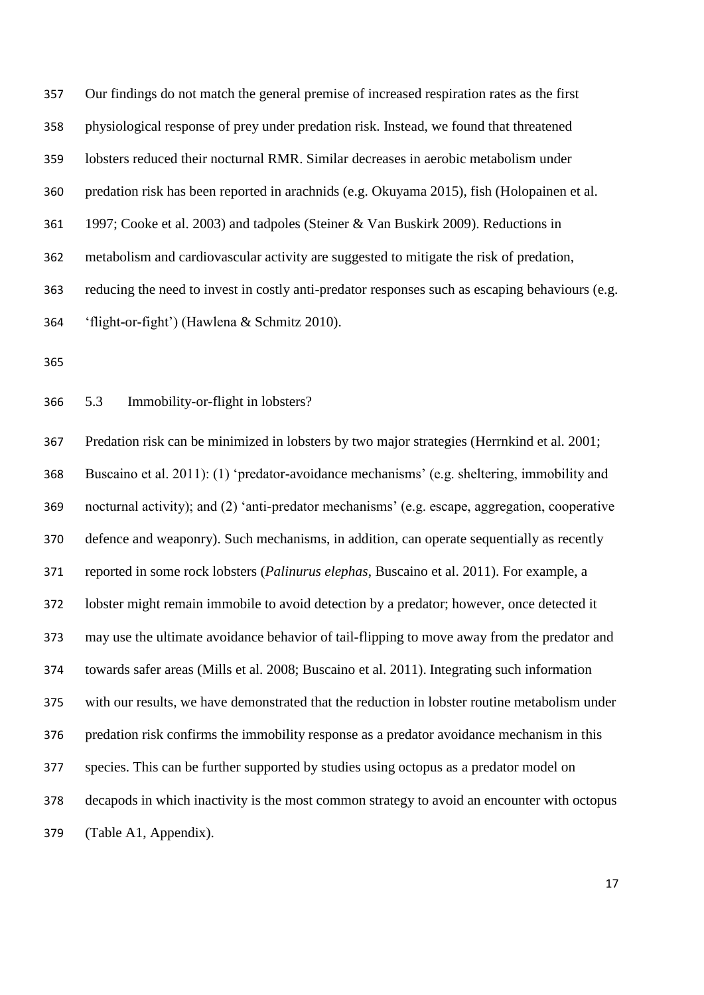| 357 | Our findings do not match the general premise of increased respiration rates as the first       |
|-----|-------------------------------------------------------------------------------------------------|
| 358 | physiological response of prey under predation risk. Instead, we found that threatened          |
| 359 | lobsters reduced their nocturnal RMR. Similar decreases in aerobic metabolism under             |
| 360 | predation risk has been reported in arachnids (e.g. Okuyama 2015), fish (Holopainen et al.      |
| 361 | 1997; Cooke et al. 2003) and tadpoles (Steiner & Van Buskirk 2009). Reductions in               |
| 362 | metabolism and cardiovascular activity are suggested to mitigate the risk of predation,         |
| 363 | reducing the need to invest in costly anti-predator responses such as escaping behaviours (e.g. |
| 364 | 'flight-or-fight') (Hawlena & Schmitz 2010).                                                    |
|     |                                                                                                 |

5.3 Immobility-or-flight in lobsters?

 Predation risk can be minimized in lobsters by two major strategies (Herrnkind et al. 2001; Buscaino et al. 2011): (1) 'predator-avoidance mechanisms' (e.g. sheltering, immobility and nocturnal activity); and (2) 'anti-predator mechanisms' (e.g. escape, aggregation, cooperative defence and weaponry). Such mechanisms, in addition, can operate sequentially as recently reported in some rock lobsters (*Palinurus elephas*, Buscaino et al. 2011). For example, a lobster might remain immobile to avoid detection by a predator; however, once detected it may use the ultimate avoidance behavior of tail-flipping to move away from the predator and towards safer areas (Mills et al. 2008; Buscaino et al. 2011). Integrating such information with our results, we have demonstrated that the reduction in lobster routine metabolism under predation risk confirms the immobility response as a predator avoidance mechanism in this species. This can be further supported by studies using octopus as a predator model on decapods in which inactivity is the most common strategy to avoid an encounter with octopus (Table A1, Appendix).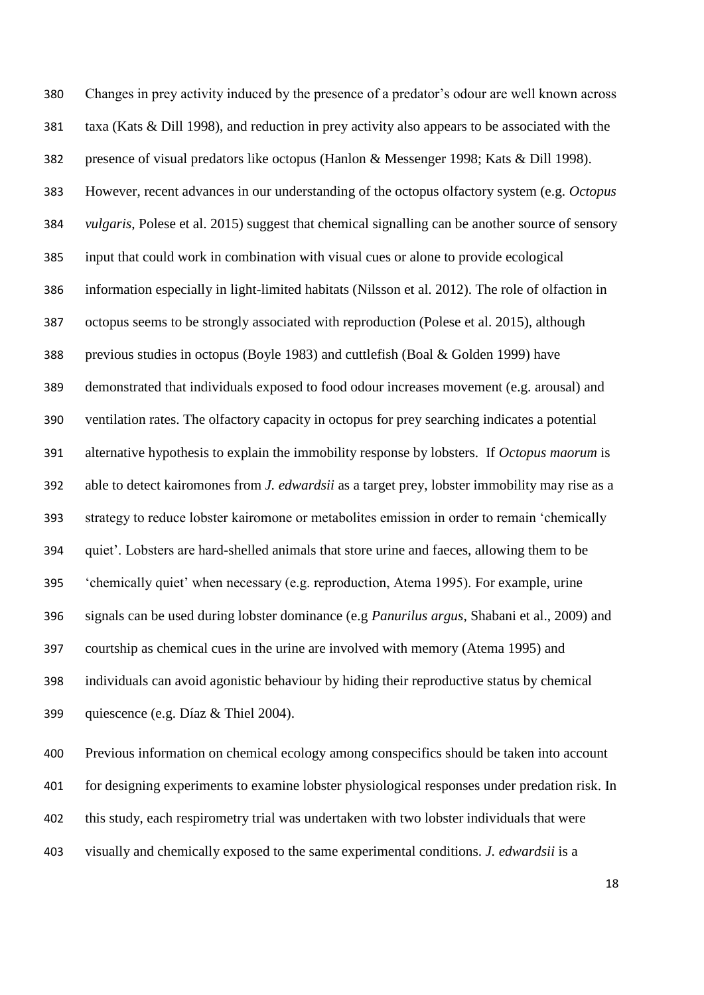Changes in prey activity induced by the presence of a predator's odour are well known across taxa (Kats & Dill 1998), and reduction in prey activity also appears to be associated with the presence of visual predators like octopus (Hanlon & Messenger 1998; Kats & Dill 1998). However, recent advances in our understanding of the octopus olfactory system (e.g. *Octopus vulgaris*, Polese et al. 2015) suggest that chemical signalling can be another source of sensory input that could work in combination with visual cues or alone to provide ecological information especially in light-limited habitats (Nilsson et al. 2012). The role of olfaction in octopus seems to be strongly associated with reproduction (Polese et al. 2015), although previous studies in octopus (Boyle 1983) and cuttlefish (Boal & Golden 1999) have demonstrated that individuals exposed to food odour increases movement (e.g. arousal) and ventilation rates. The olfactory capacity in octopus for prey searching indicates a potential alternative hypothesis to explain the immobility response by lobsters. If *Octopus maorum* is able to detect kairomones from *J. edwardsii* as a target prey, lobster immobility may rise as a strategy to reduce lobster kairomone or metabolites emission in order to remain 'chemically quiet'. Lobsters are hard-shelled animals that store urine and faeces, allowing them to be 'chemically quiet' when necessary (e.g. reproduction, Atema 1995). For example, urine signals can be used during lobster dominance (e.g *Panurilus argus*, Shabani et al., 2009) and courtship as chemical cues in the urine are involved with memory (Atema 1995) and individuals can avoid agonistic behaviour by hiding their reproductive status by chemical quiescence (e.g. Díaz & Thiel 2004).

 Previous information on chemical ecology among conspecifics should be taken into account for designing experiments to examine lobster physiological responses under predation risk. In this study, each respirometry trial was undertaken with two lobster individuals that were visually and chemically exposed to the same experimental conditions. *J. edwardsii* is a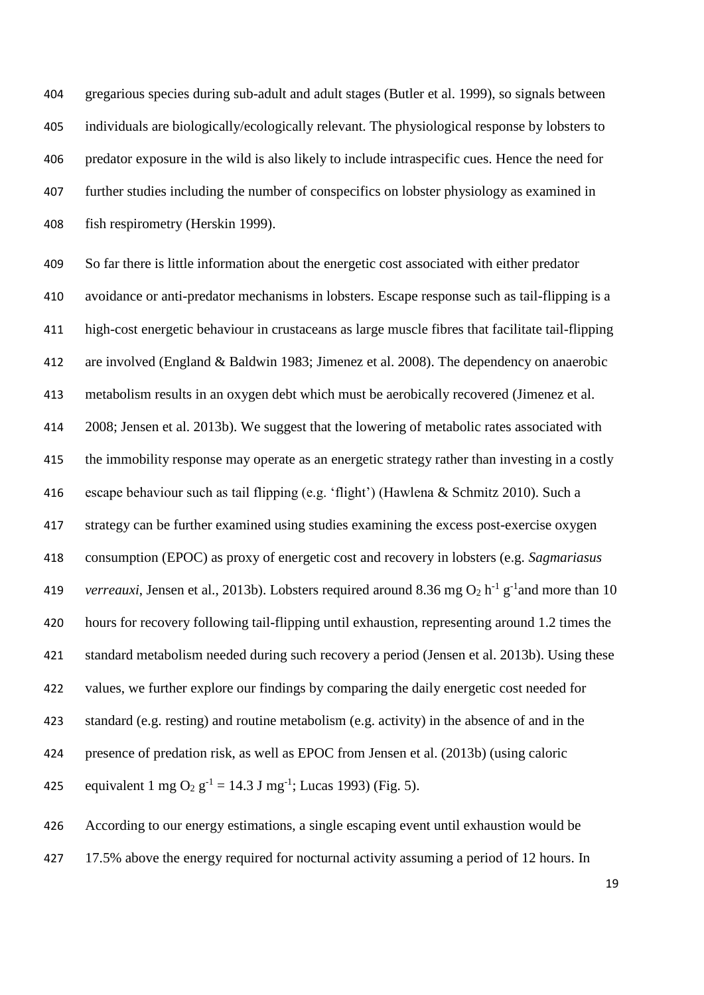gregarious species during sub-adult and adult stages (Butler et al. 1999), so signals between individuals are biologically/ecologically relevant. The physiological response by lobsters to predator exposure in the wild is also likely to include intraspecific cues. Hence the need for further studies including the number of conspecifics on lobster physiology as examined in fish respirometry (Herskin 1999).

 So far there is little information about the energetic cost associated with either predator avoidance or anti-predator mechanisms in lobsters. Escape response such as tail-flipping is a high-cost energetic behaviour in crustaceans as large muscle fibres that facilitate tail-flipping are involved (England & Baldwin 1983; Jimenez et al. 2008). The dependency on anaerobic metabolism results in an oxygen debt which must be aerobically recovered (Jimenez et al. 2008; Jensen et al. 2013b). We suggest that the lowering of metabolic rates associated with the immobility response may operate as an energetic strategy rather than investing in a costly escape behaviour such as tail flipping (e.g. 'flight') (Hawlena & Schmitz 2010). Such a strategy can be further examined using studies examining the excess post-exercise oxygen consumption (EPOC) as proxy of energetic cost and recovery in lobsters (e.g. *Sagmariasus verreauxi*, Jensen et al., 2013b). Lobsters required around 8.36 mg  $O_2$  h<sup>-1</sup> g<sup>-1</sup> and more than 10 hours for recovery following tail-flipping until exhaustion, representing around 1.2 times the standard metabolism needed during such recovery a period (Jensen et al. 2013b). Using these values, we further explore our findings by comparing the daily energetic cost needed for standard (e.g. resting) and routine metabolism (e.g. activity) in the absence of and in the presence of predation risk, as well as EPOC from Jensen et al. (2013b) (using caloric 425 equivalent 1 mg O<sub>2</sub> g<sup>-1</sup> = 14.3 J mg<sup>-1</sup>; Lucas 1993) (Fig. 5).

 According to our energy estimations, a single escaping event until exhaustion would be 427 17.5% above the energy required for nocturnal activity assuming a period of 12 hours. In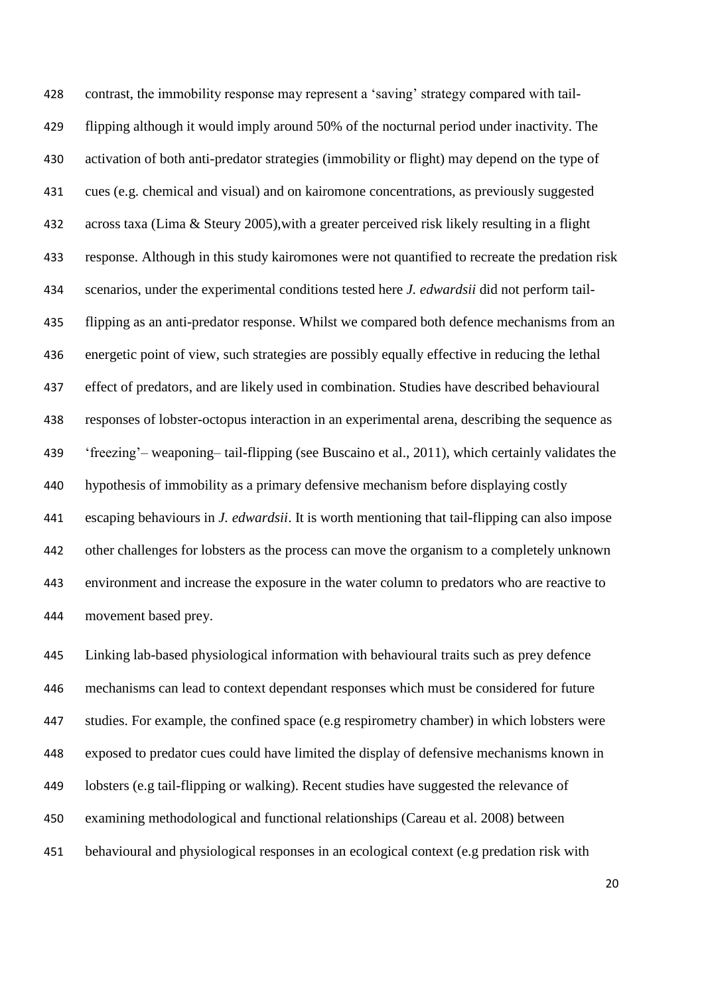contrast, the immobility response may represent a 'saving' strategy compared with tail- flipping although it would imply around 50% of the nocturnal period under inactivity. The activation of both anti-predator strategies (immobility or flight) may depend on the type of cues (e.g. chemical and visual) and on kairomone concentrations, as previously suggested across taxa (Lima & Steury 2005),with a greater perceived risk likely resulting in a flight response. Although in this study kairomones were not quantified to recreate the predation risk scenarios, under the experimental conditions tested here *J. edwardsii* did not perform tail- flipping as an anti-predator response. Whilst we compared both defence mechanisms from an energetic point of view, such strategies are possibly equally effective in reducing the lethal effect of predators, and are likely used in combination. Studies have described behavioural responses of lobster-octopus interaction in an experimental arena, describing the sequence as 'freezing'– weaponing– tail-flipping (see Buscaino et al., 2011), which certainly validates the hypothesis of immobility as a primary defensive mechanism before displaying costly escaping behaviours in *J. edwardsii*. It is worth mentioning that tail-flipping can also impose other challenges for lobsters as the process can move the organism to a completely unknown environment and increase the exposure in the water column to predators who are reactive to movement based prey.

 Linking lab-based physiological information with behavioural traits such as prey defence mechanisms can lead to context dependant responses which must be considered for future studies. For example, the confined space (e.g respirometry chamber) in which lobsters were exposed to predator cues could have limited the display of defensive mechanisms known in lobsters (e.g tail-flipping or walking). Recent studies have suggested the relevance of examining methodological and functional relationships (Careau et al. 2008) between behavioural and physiological responses in an ecological context (e.g predation risk with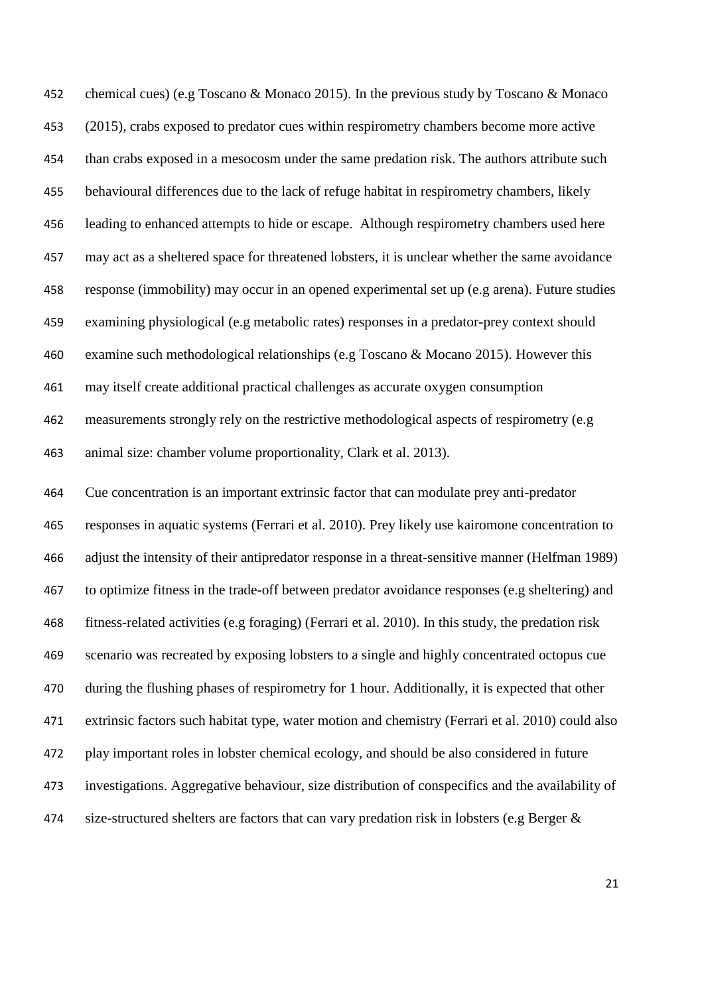chemical cues) (e.g Toscano & Monaco 2015). In the previous study by Toscano & Monaco (2015), crabs exposed to predator cues within respirometry chambers become more active than crabs exposed in a mesocosm under the same predation risk. The authors attribute such behavioural differences due to the lack of refuge habitat in respirometry chambers, likely leading to enhanced attempts to hide or escape. Although respirometry chambers used here may act as a sheltered space for threatened lobsters, it is unclear whether the same avoidance response (immobility) may occur in an opened experimental set up (e.g arena). Future studies examining physiological (e.g metabolic rates) responses in a predator-prey context should examine such methodological relationships (e.g Toscano & Mocano 2015). However this may itself create additional practical challenges as accurate oxygen consumption measurements strongly rely on the restrictive methodological aspects of respirometry (e.g animal size: chamber volume proportionality, Clark et al. 2013).

 Cue concentration is an important extrinsic factor that can modulate prey anti-predator responses in aquatic systems (Ferrari et al. 2010). Prey likely use kairomone concentration to adjust the intensity of their antipredator response in a threat-sensitive manner (Helfman 1989) to optimize fitness in the trade-off between predator avoidance responses (e.g sheltering) and fitness-related activities (e.g foraging) (Ferrari et al. 2010). In this study, the predation risk scenario was recreated by exposing lobsters to a single and highly concentrated octopus cue during the flushing phases of respirometry for 1 hour. Additionally, it is expected that other extrinsic factors such habitat type, water motion and chemistry (Ferrari et al. 2010) could also play important roles in lobster chemical ecology, and should be also considered in future investigations. Aggregative behaviour, size distribution of conspecifics and the availability of size-structured shelters are factors that can vary predation risk in lobsters (e.g Berger &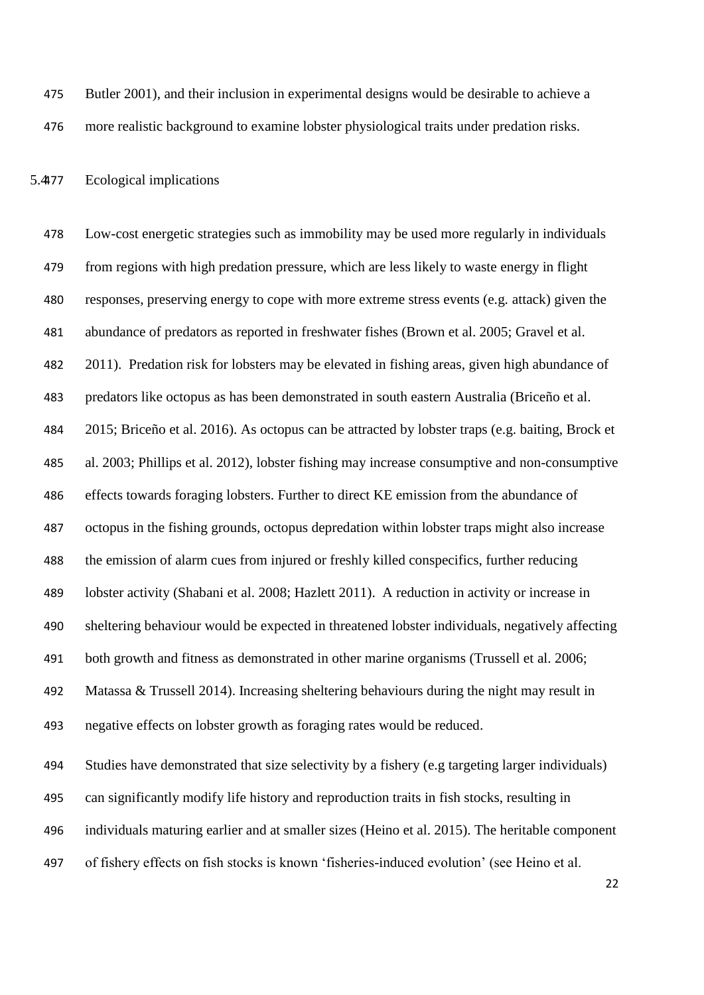Butler 2001), and their inclusion in experimental designs would be desirable to achieve a more realistic background to examine lobster physiological traits under predation risks.

5.4477 Ecological implications

 Low-cost energetic strategies such as immobility may be used more regularly in individuals from regions with high predation pressure, which are less likely to waste energy in flight responses, preserving energy to cope with more extreme stress events (e.g. attack) given the abundance of predators as reported in freshwater fishes (Brown et al. 2005; Gravel et al. 2011). Predation risk for lobsters may be elevated in fishing areas, given high abundance of predators like octopus as has been demonstrated in south eastern Australia (Briceño et al. 2015; Briceño et al. 2016). As octopus can be attracted by lobster traps (e.g. baiting, Brock et al. 2003; Phillips et al. 2012), lobster fishing may increase consumptive and non-consumptive effects towards foraging lobsters. Further to direct KE emission from the abundance of octopus in the fishing grounds, octopus depredation within lobster traps might also increase the emission of alarm cues from injured or freshly killed conspecifics, further reducing lobster activity (Shabani et al. 2008; Hazlett 2011). A reduction in activity or increase in sheltering behaviour would be expected in threatened lobster individuals, negatively affecting both growth and fitness as demonstrated in other marine organisms (Trussell et al. 2006; Matassa & Trussell 2014). Increasing sheltering behaviours during the night may result in negative effects on lobster growth as foraging rates would be reduced. Studies have demonstrated that size selectivity by a fishery (e.g targeting larger individuals) can significantly modify life history and reproduction traits in fish stocks, resulting in individuals maturing earlier and at smaller sizes (Heino et al. 2015). The heritable component of fishery effects on fish stocks is known 'fisheries-induced evolution' (see Heino et al.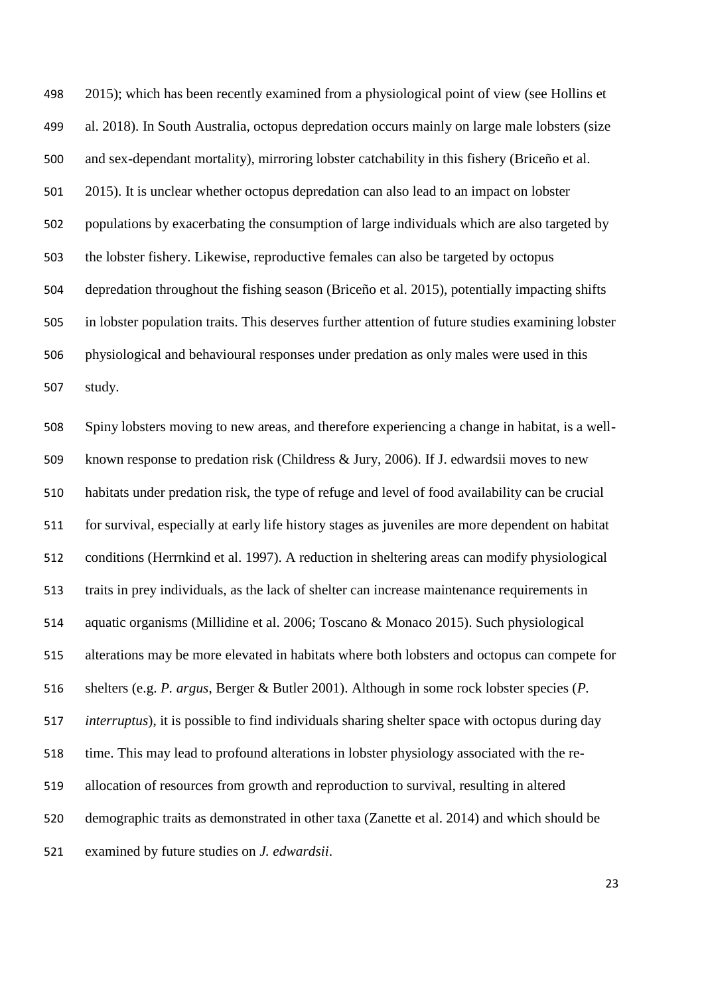2015); which has been recently examined from a physiological point of view (see Hollins et al. 2018). In South Australia, octopus depredation occurs mainly on large male lobsters (size and sex-dependant mortality), mirroring lobster catchability in this fishery (Briceño et al. 2015). It is unclear whether octopus depredation can also lead to an impact on lobster populations by exacerbating the consumption of large individuals which are also targeted by the lobster fishery. Likewise, reproductive females can also be targeted by octopus depredation throughout the fishing season (Briceño et al. 2015), potentially impacting shifts in lobster population traits. This deserves further attention of future studies examining lobster physiological and behavioural responses under predation as only males were used in this study.

 Spiny lobsters moving to new areas, and therefore experiencing a change in habitat, is a well- known response to predation risk (Childress & Jury, 2006). If J. edwardsii moves to new habitats under predation risk, the type of refuge and level of food availability can be crucial for survival, especially at early life history stages as juveniles are more dependent on habitat conditions (Herrnkind et al. 1997). A reduction in sheltering areas can modify physiological traits in prey individuals, as the lack of shelter can increase maintenance requirements in aquatic organisms (Millidine et al. 2006; Toscano & Monaco 2015). Such physiological alterations may be more elevated in habitats where both lobsters and octopus can compete for shelters (e.g. *P. argus*, Berger & Butler 2001). Although in some rock lobster species (*P. interruptus*), it is possible to find individuals sharing shelter space with octopus during day time. This may lead to profound alterations in lobster physiology associated with the re- allocation of resources from growth and reproduction to survival, resulting in altered demographic traits as demonstrated in other taxa (Zanette et al. 2014) and which should be examined by future studies on *J. edwardsii*.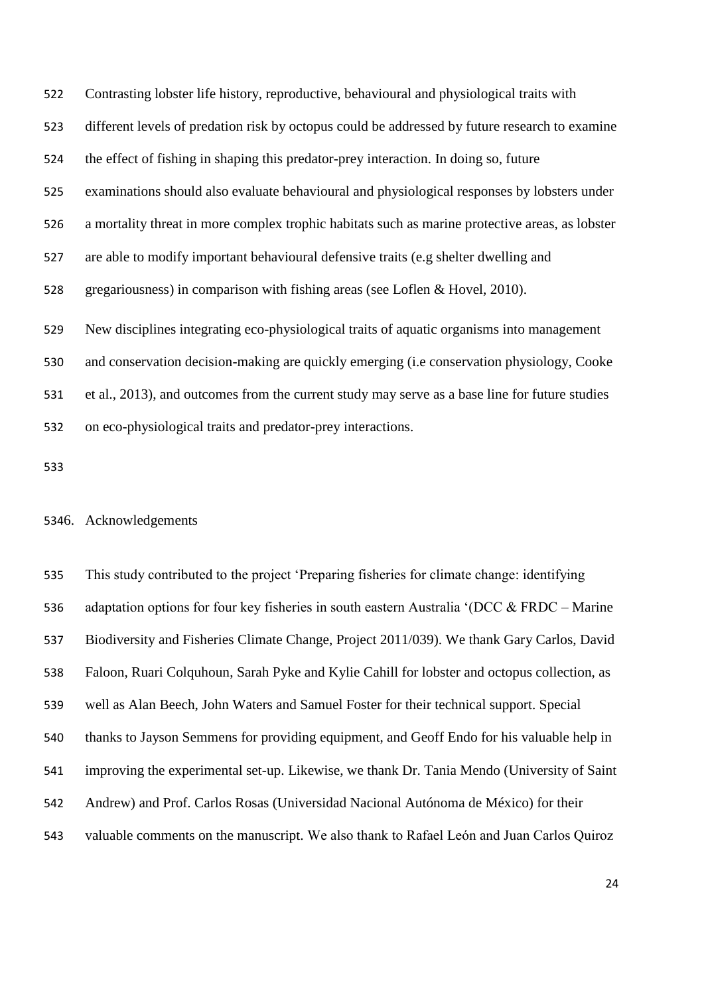Contrasting lobster life history, reproductive, behavioural and physiological traits with different levels of predation risk by octopus could be addressed by future research to examine the effect of fishing in shaping this predator-prey interaction. In doing so, future examinations should also evaluate behavioural and physiological responses by lobsters under a mortality threat in more complex trophic habitats such as marine protective areas, as lobster are able to modify important behavioural defensive traits (e.g shelter dwelling and gregariousness) in comparison with fishing areas (see Loflen & Hovel, 2010). New disciplines integrating eco-physiological traits of aquatic organisms into management and conservation decision-making are quickly emerging (i.e conservation physiology, Cooke et al., 2013), and outcomes from the current study may serve as a base line for future studies on eco-physiological traits and predator-prey interactions.

## 6. Acknowledgements

 This study contributed to the project 'Preparing fisheries for climate change: identifying adaptation options for four key fisheries in south eastern Australia '(DCC & FRDC – Marine Biodiversity and Fisheries Climate Change, Project 2011/039). We thank Gary Carlos, David Faloon, Ruari Colquhoun, Sarah Pyke and Kylie Cahill for lobster and octopus collection, as well as Alan Beech, John Waters and Samuel Foster for their technical support. Special thanks to Jayson Semmens for providing equipment, and Geoff Endo for his valuable help in improving the experimental set-up. Likewise, we thank Dr. Tania Mendo (University of Saint Andrew) and Prof. Carlos Rosas (Universidad Nacional Autónoma de México) for their valuable comments on the manuscript. We also thank to Rafael Leόn and Juan Carlos Quiroz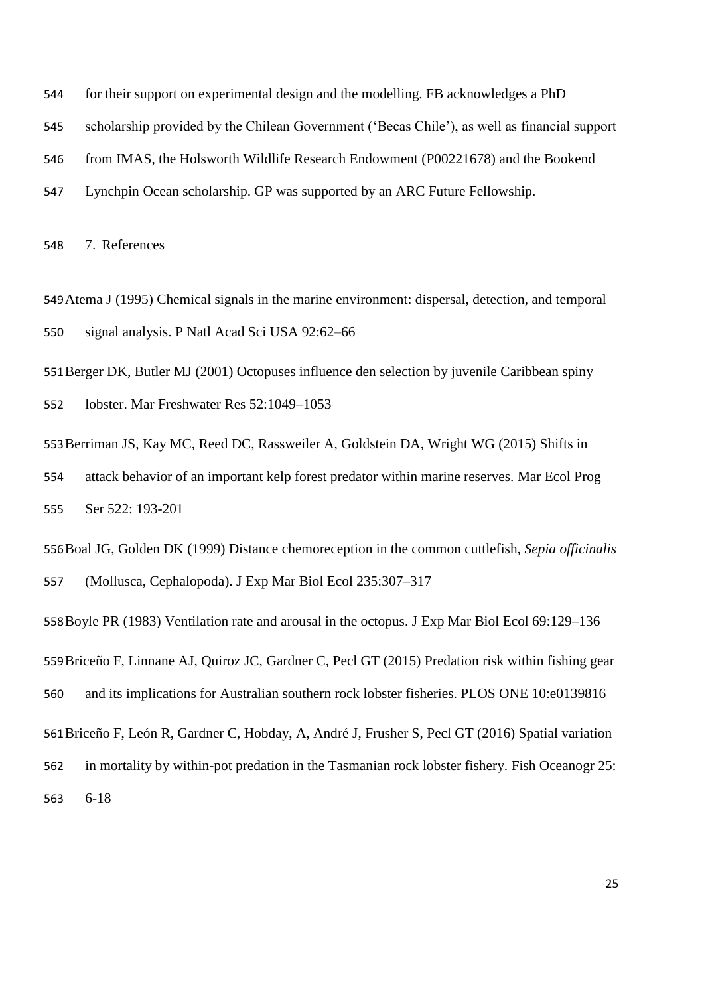- for their support on experimental design and the modelling. FB acknowledges a PhD
- scholarship provided by the Chilean Government ('Becas Chile'), as well as financial support
- from IMAS, the Holsworth Wildlife Research Endowment (P00221678) and the Bookend
- Lynchpin Ocean scholarship. GP was supported by an ARC Future Fellowship.

7. References

- Atema J (1995) Chemical signals in the marine environment: dispersal, detection, and temporal signal analysis. P Natl Acad Sci USA 92:62–66
- Berger DK, Butler MJ (2001) Octopuses influence den selection by juvenile Caribbean spiny
- lobster. Mar Freshwater Res 52:1049–1053
- Berriman JS, Kay MC, Reed DC, Rassweiler A, Goldstein DA, Wright WG (2015) Shifts in attack behavior of an important kelp forest predator within marine reserves. Mar Ecol Prog Ser 522: 193-201
- Boal JG, Golden DK (1999) Distance chemoreception in the common cuttlefish, *Sepia officinalis* (Mollusca, Cephalopoda). J Exp Mar Biol Ecol 235:307–317
- Boyle PR (1983) Ventilation rate and arousal in the octopus. J Exp Mar Biol Ecol 69:129–136 Briceño F, Linnane AJ, Quiroz JC, Gardner C, Pecl GT (2015) Predation risk within fishing gear and its implications for Australian southern rock lobster fisheries. PLOS ONE 10:e0139816 Briceño F, León R, Gardner C, Hobday, A, André J, Frusher S, Pecl GT (2016) Spatial variation in mortality by within-pot predation in the Tasmanian rock lobster fishery. Fish Oceanogr 25:

6-18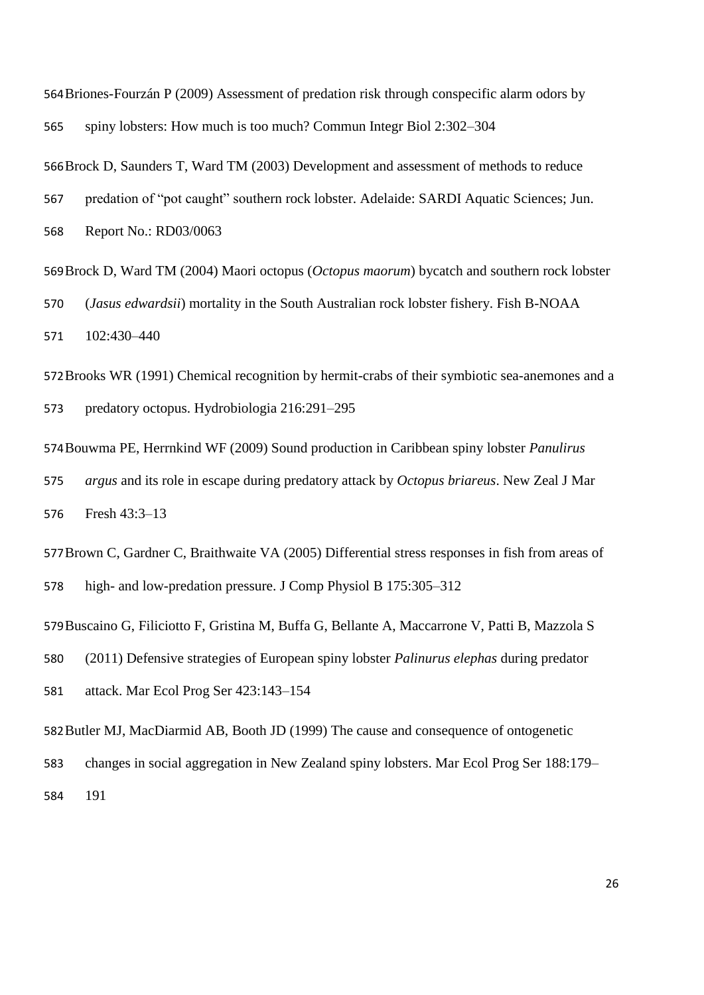Briones-Fourzán P (2009) Assessment of predation risk through conspecific alarm odors by spiny lobsters: How much is too much? Commun Integr Biol 2:302–304

Brock D, Saunders T, Ward TM (2003) Development and assessment of methods to reduce

predation of "pot caught" southern rock lobster. Adelaide: SARDI Aquatic Sciences; Jun.

Report No.: RD03/0063

Brock D, Ward TM (2004) Maori octopus (*Octopus maorum*) bycatch and southern rock lobster (*Jasus edwardsii*) mortality in the South Australian rock lobster fishery. Fish B-NOAA 102:430–440

Brooks WR (1991) Chemical recognition by hermit-crabs of their symbiotic sea-anemones and a predatory octopus. Hydrobiologia 216:291–295

Bouwma PE, Herrnkind WF (2009) Sound production in Caribbean spiny lobster *Panulirus argus* and its role in escape during predatory attack by *Octopus briareus*. New Zeal J Mar Fresh 43:3–13

Brown C, Gardner C, Braithwaite VA (2005) Differential stress responses in fish from areas of high- and low-predation pressure. J Comp Physiol B 175:305–312

Buscaino G, Filiciotto F, Gristina M, Buffa G, Bellante A, Maccarrone V, Patti B, Mazzola S

(2011) Defensive strategies of European spiny lobster *Palinurus elephas* during predator

attack. Mar Ecol Prog Ser 423:143–154

Butler MJ, MacDiarmid AB, Booth JD (1999) The cause and consequence of ontogenetic

changes in social aggregation in New Zealand spiny lobsters. Mar Ecol Prog Ser 188:179–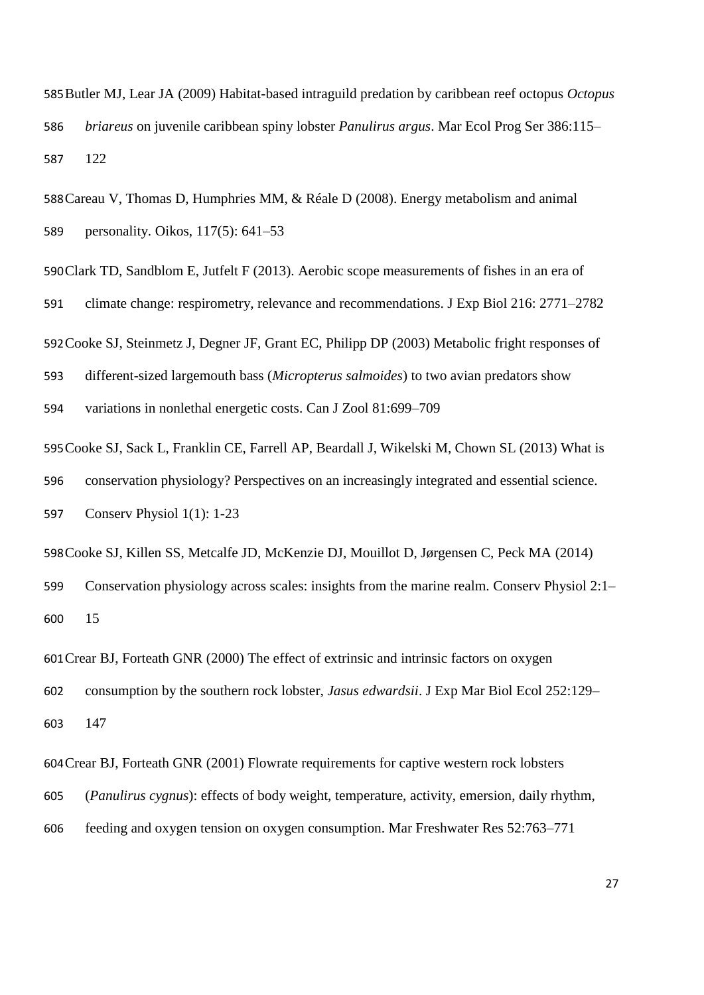Butler MJ, Lear JA (2009) Habitat-based intraguild predation by caribbean reef octopus *Octopus briareus* on juvenile caribbean spiny lobster *Panulirus argus*. Mar Ecol Prog Ser 386:115– 122

Careau V, Thomas D, Humphries MM, & Réale D (2008). Energy metabolism and animal personality. Oikos, 117(5): 641–53

Clark TD, Sandblom E, Jutfelt F (2013). Aerobic scope measurements of fishes in an era of

climate change: respirometry, relevance and recommendations. J Exp Biol 216: 2771–2782

Cooke SJ, Steinmetz J, Degner JF, Grant EC, Philipp DP (2003) Metabolic fright responses of

different-sized largemouth bass (*Micropterus salmoides*) to two avian predators show

variations in nonlethal energetic costs. Can J Zool 81:699–709

Cooke SJ, Sack L, Franklin CE, Farrell AP, Beardall J, Wikelski M, Chown SL (2013) What is conservation physiology? Perspectives on an increasingly integrated and essential science. Conserv Physiol 1(1): 1-23

Cooke SJ, Killen SS, Metcalfe JD, McKenzie DJ, Mouillot D, Jørgensen C, Peck MA (2014) Conservation physiology across scales: insights from the marine realm. Conserv Physiol 2:1– 15

Crear BJ, Forteath GNR (2000) The effect of extrinsic and intrinsic factors on oxygen

consumption by the southern rock lobster, *Jasus edwardsii*. J Exp Mar Biol Ecol 252:129–

147

Crear BJ, Forteath GNR (2001) Flowrate requirements for captive western rock lobsters

- (*Panulirus cygnus*): effects of body weight, temperature, activity, emersion, daily rhythm,
- feeding and oxygen tension on oxygen consumption. Mar Freshwater Res 52:763–771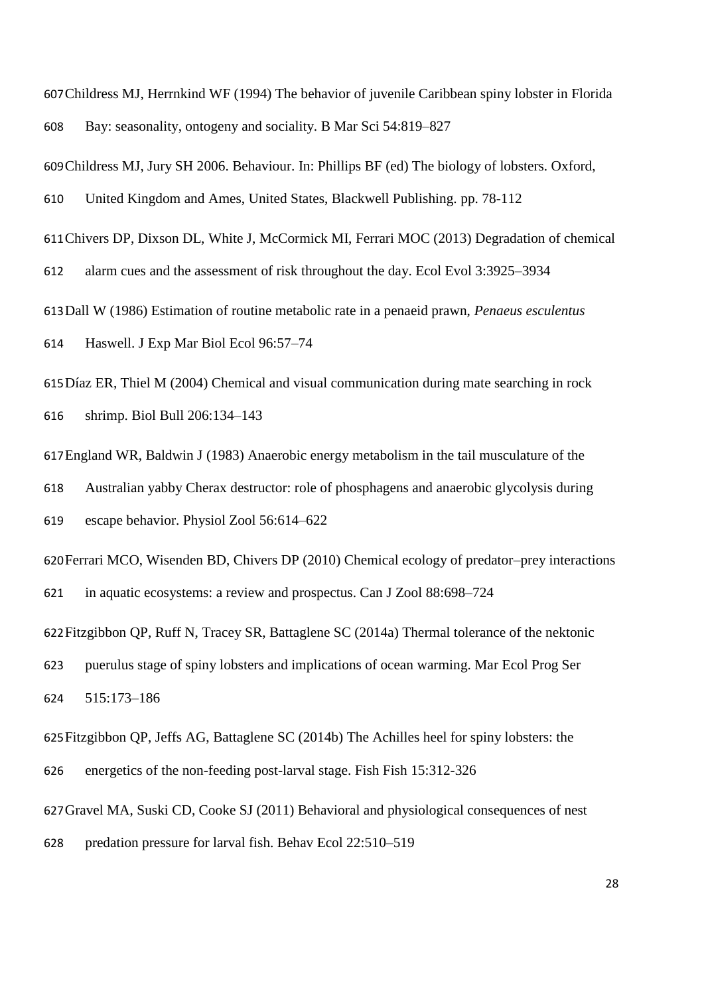Childress MJ, Herrnkind WF (1994) The behavior of juvenile Caribbean spiny lobster in Florida Bay: seasonality, ontogeny and sociality. B Mar Sci 54:819–827

Childress MJ, Jury SH 2006. Behaviour. In: Phillips BF (ed) The biology of lobsters. Oxford,

United Kingdom and Ames, United States, Blackwell Publishing. pp. 78-112

Chivers DP, Dixson DL, White J, McCormick MI, Ferrari MOC (2013) Degradation of chemical

alarm cues and the assessment of risk throughout the day. Ecol Evol 3:3925–3934

Dall W (1986) Estimation of routine metabolic rate in a penaeid prawn, *Penaeus esculentus*

Haswell. J Exp Mar Biol Ecol 96:57–74

Díaz ER, Thiel M (2004) Chemical and visual communication during mate searching in rock shrimp. Biol Bull 206:134–143

England WR, Baldwin J (1983) Anaerobic energy metabolism in the tail musculature of the

Australian yabby Cherax destructor: role of phosphagens and anaerobic glycolysis during

escape behavior. Physiol Zool 56:614–622

Ferrari MCO, Wisenden BD, Chivers DP (2010) Chemical ecology of predator–prey interactions in aquatic ecosystems: a review and prospectus. Can J Zool 88:698–724

Fitzgibbon QP, Ruff N, Tracey SR, Battaglene SC (2014a) Thermal tolerance of the nektonic

 puerulus stage of spiny lobsters and implications of ocean warming. Mar Ecol Prog Ser 515:173–186

Fitzgibbon QP, Jeffs AG, Battaglene SC (2014b) The Achilles heel for spiny lobsters: the

energetics of the non-feeding post-larval stage. Fish Fish 15:312-326

Gravel MA, Suski CD, Cooke SJ (2011) Behavioral and physiological consequences of nest

predation pressure for larval fish. Behav Ecol 22:510–519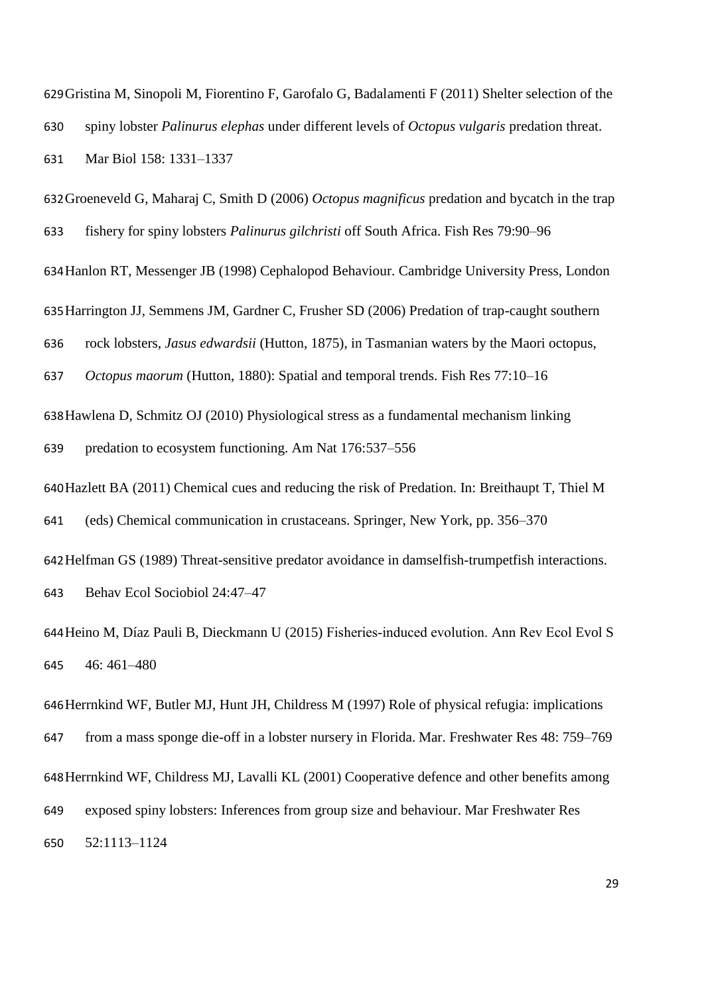Gristina M, Sinopoli M, Fiorentino F, Garofalo G, Badalamenti F (2011) Shelter selection of the spiny lobster *Palinurus elephas* under different levels of *Octopus vulgaris* predation threat. Mar Biol 158: 1331–1337

Groeneveld G, Maharaj C, Smith D (2006) *Octopus magnificus* predation and bycatch in the trap fishery for spiny lobsters *Palinurus gilchristi* off South Africa. Fish Res 79:90–96

Hanlon RT, Messenger JB (1998) Cephalopod Behaviour. Cambridge University Press, London

Harrington JJ, Semmens JM, Gardner C, Frusher SD (2006) Predation of trap-caught southern

rock lobsters, *Jasus edwardsii* (Hutton, 1875), in Tasmanian waters by the Maori octopus,

*Octopus maorum* (Hutton, 1880): Spatial and temporal trends. Fish Res 77:10–16

Hawlena D, Schmitz OJ (2010) Physiological stress as a fundamental mechanism linking

predation to ecosystem functioning. Am Nat 176:537–556

Hazlett BA (2011) Chemical cues and reducing the risk of Predation. In: Breithaupt T, Thiel M

(eds) Chemical communication in crustaceans. Springer, New York, pp. 356–370

Helfman GS (1989) Threat-sensitive predator avoidance in damselfish-trumpetfish interactions. Behav Ecol Sociobiol 24:47–47

Heino M, Díaz Pauli B, Dieckmann U (2015) Fisheries‐induced evolution. Ann Rev Ecol Evol S 46: 461–480

Herrnkind WF, Butler MJ, Hunt JH, Childress M (1997) Role of physical refugia: implications from a mass sponge die-off in a lobster nursery in Florida. Mar. Freshwater Res 48: 759–769 Herrnkind WF, Childress MJ, Lavalli KL (2001) Cooperative defence and other benefits among exposed spiny lobsters: Inferences from group size and behaviour. Mar Freshwater Res 52:1113–1124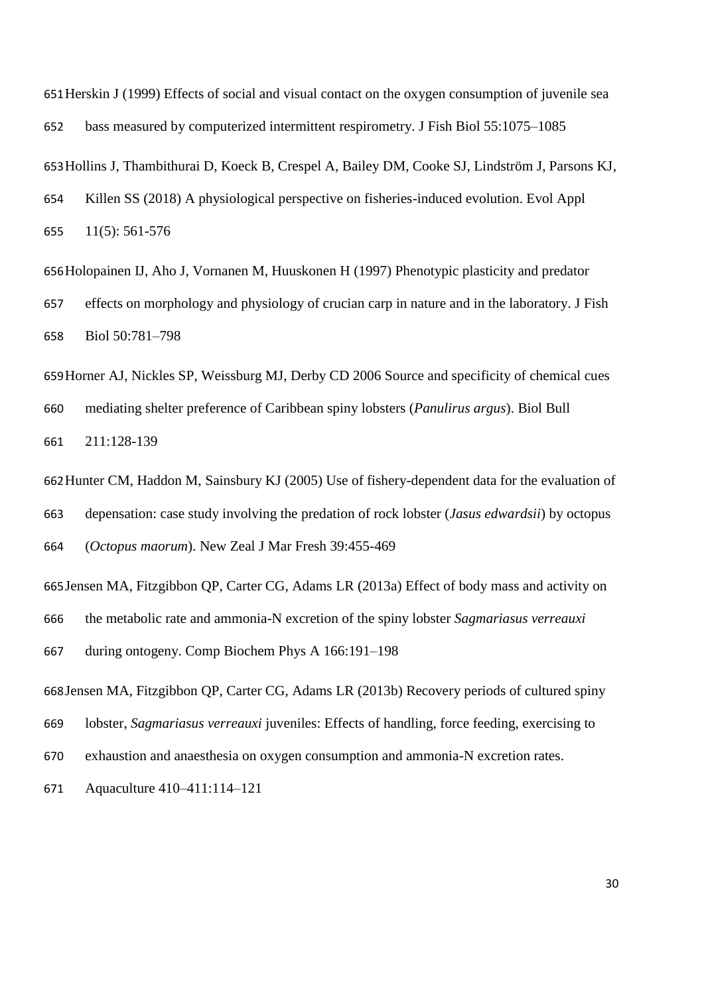Herskin J (1999) Effects of social and visual contact on the oxygen consumption of juvenile sea bass measured by computerized intermittent respirometry. J Fish Biol 55:1075–1085 Hollins J, Thambithurai D, Koeck B, Crespel A, Bailey DM, Cooke SJ, Lindström J, Parsons KJ, Killen SS (2018) A physiological perspective on fisheries-induced evolution. Evol Appl 11(5): 561-576

Holopainen IJ, Aho J, Vornanen M, Huuskonen H (1997) Phenotypic plasticity and predator effects on morphology and physiology of crucian carp in nature and in the laboratory. J Fish Biol 50:781–798

Horner AJ, Nickles SP, Weissburg MJ, Derby CD 2006 Source and specificity of chemical cues mediating shelter preference of Caribbean spiny lobsters (*Panulirus argus*). Biol Bull 211:128-139

Hunter CM, Haddon M, Sainsbury KJ (2005) Use of fishery-dependent data for the evaluation of depensation: case study involving the predation of rock lobster (*Jasus edwardsii*) by octopus (*Octopus maorum*). New Zeal J Mar Fresh 39:455-469

Jensen MA, Fitzgibbon QP, Carter CG, Adams LR (2013a) Effect of body mass and activity on the metabolic rate and ammonia-N excretion of the spiny lobster *Sagmariasus verreauxi* during ontogeny. Comp Biochem Phys A 166:191–198 Jensen MA, Fitzgibbon QP, Carter CG, Adams LR (2013b) Recovery periods of cultured spiny

 lobster, *Sagmariasus verreauxi* juveniles: Effects of handling, force feeding, exercising to exhaustion and anaesthesia on oxygen consumption and ammonia-N excretion rates.

Aquaculture 410–411:114–121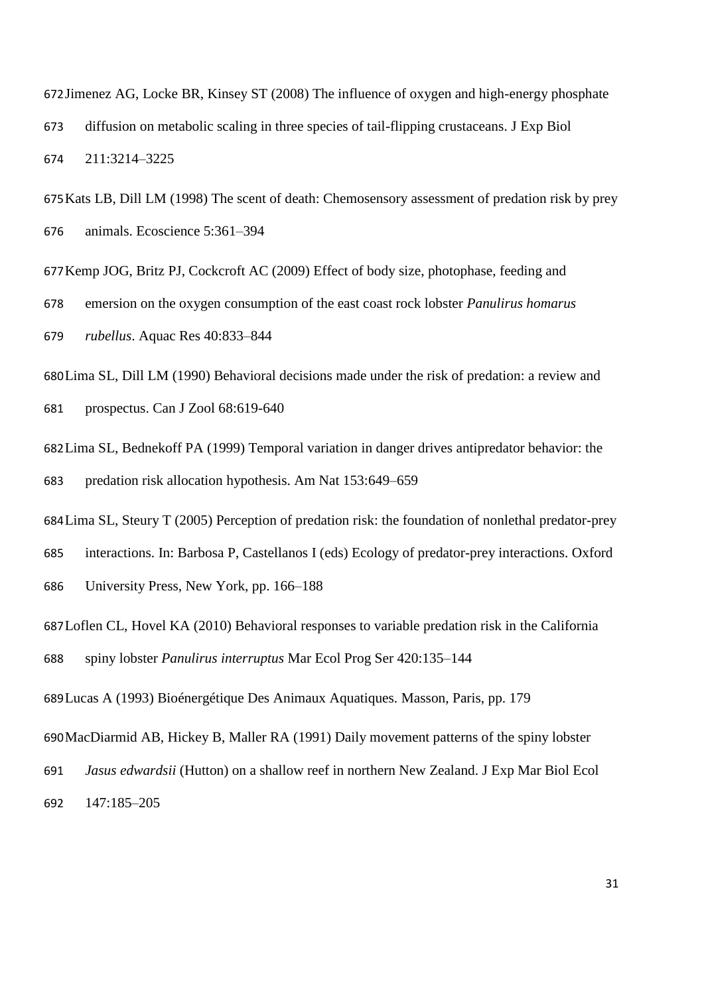Jimenez AG, Locke BR, Kinsey ST (2008) The influence of oxygen and high-energy phosphate diffusion on metabolic scaling in three species of tail-flipping crustaceans. J Exp Biol 211:3214–3225

Kats LB, Dill LM (1998) The scent of death: Chemosensory assessment of predation risk by prey animals. Ecoscience 5:361–394

Kemp JOG, Britz PJ, Cockcroft AC (2009) Effect of body size, photophase, feeding and

emersion on the oxygen consumption of the east coast rock lobster *Panulirus homarus* 

*rubellus*. Aquac Res 40:833–844

Lima SL, Dill LM (1990) Behavioral decisions made under the risk of predation: a review and prospectus. Can J Zool 68:619-640

Lima SL, Bednekoff PA (1999) Temporal variation in danger drives antipredator behavior: the predation risk allocation hypothesis. Am Nat 153:649–659

Lima SL, Steury T (2005) Perception of predation risk: the foundation of nonlethal predator-prey

interactions. In: Barbosa P, Castellanos I (eds) Ecology of predator-prey interactions. Oxford

University Press, New York, pp. 166–188

Loflen CL, Hovel KA (2010) Behavioral responses to variable predation risk in the California

spiny lobster *Panulirus interruptus* Mar Ecol Prog Ser 420:135–144

Lucas A (1993) Bioénergétique Des Animaux Aquatiques. Masson, Paris, pp. 179

MacDiarmid AB, Hickey B, Maller RA (1991) Daily movement patterns of the spiny lobster

*Jasus edwardsii* (Hutton) on a shallow reef in northern New Zealand. J Exp Mar Biol Ecol

147:185–205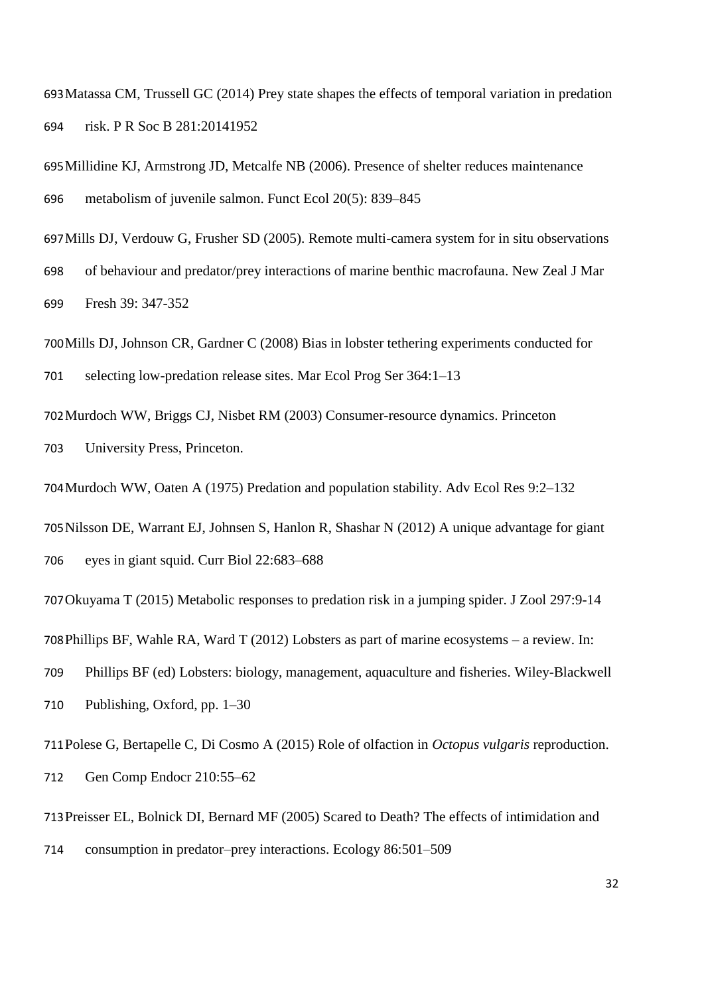Matassa CM, Trussell GC (2014) Prey state shapes the effects of temporal variation in predation risk. P R Soc B 281:20141952

Millidine KJ, Armstrong JD, Metcalfe NB (2006). Presence of shelter reduces maintenance metabolism of juvenile salmon. Funct Ecol 20(5): 839–845

Mills DJ, Verdouw G, Frusher SD (2005). Remote multi-camera system for in situ observations

 of behaviour and predator/prey interactions of marine benthic macrofauna. New Zeal J Mar Fresh 39: 347-352

Mills DJ, Johnson CR, Gardner C (2008) Bias in lobster tethering experiments conducted for

selecting low-predation release sites. Mar Ecol Prog Ser 364:1–13

Murdoch WW, Briggs CJ, Nisbet RM (2003) Consumer-resource dynamics. Princeton

University Press, Princeton.

Murdoch WW, Oaten A (1975) Predation and population stability. Adv Ecol Res 9:2–132

Nilsson DE, Warrant EJ, Johnsen S, Hanlon R, Shashar N (2012) A unique advantage for giant eyes in giant squid. Curr Biol 22:683–688

Okuyama T (2015) Metabolic responses to predation risk in a jumping spider. J Zool 297:9-14

Phillips BF, Wahle RA, Ward T (2012) Lobsters as part of marine ecosystems – a review. In:

Phillips BF (ed) Lobsters: biology, management, aquaculture and fisheries. Wiley-Blackwell

Publishing, Oxford, pp. 1–30

Polese G, Bertapelle C, Di Cosmo A (2015) Role of olfaction in *Octopus vulgaris* reproduction.

Gen Comp Endocr 210:55–62

Preisser EL, Bolnick DI, Bernard MF (2005) Scared to Death? The effects of intimidation and

consumption in predator–prey interactions. Ecology 86:501–509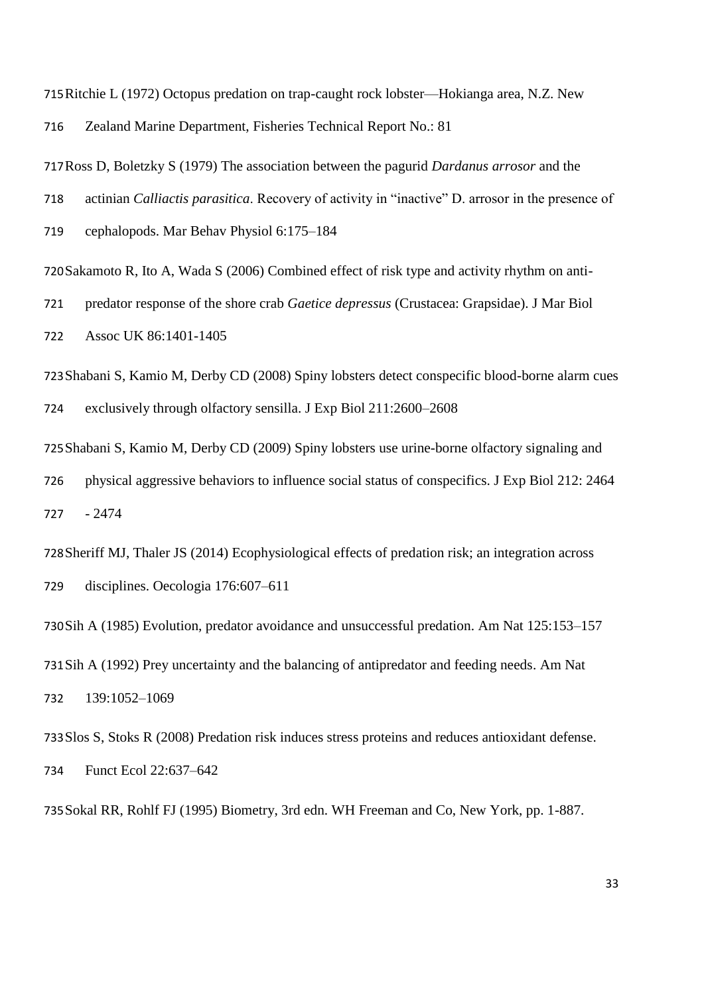Ritchie L (1972) Octopus predation on trap-caught rock lobster—Hokianga area, N.Z. New Zealand Marine Department, Fisheries Technical Report No.: 81

Ross D, Boletzky S (1979) The association between the pagurid *Dardanus arrosor* and the

actinian *Calliactis parasitica*. Recovery of activity in "inactive" D. arrosor in the presence of

cephalopods. Mar Behav Physiol 6:175–184

Sakamoto R, Ito A, Wada S (2006) Combined effect of risk type and activity rhythm on anti-

predator response of the shore crab *Gaetice depressus* (Crustacea: Grapsidae). J Mar Biol

Assoc UK 86:1401-1405

Shabani S, Kamio M, Derby CD (2008) Spiny lobsters detect conspecific blood-borne alarm cues exclusively through olfactory sensilla. J Exp Biol 211:2600–2608

Shabani S, Kamio M, Derby CD (2009) Spiny lobsters use urine-borne olfactory signaling and physical aggressive behaviors to influence social status of conspecifics. J Exp Biol 212: 2464 - 2474

Sheriff MJ, Thaler JS (2014) Ecophysiological effects of predation risk; an integration across disciplines. Oecologia 176:607–611

Sih A (1985) Evolution, predator avoidance and unsuccessful predation. Am Nat 125:153–157 Sih A (1992) Prey uncertainty and the balancing of antipredator and feeding needs. Am Nat 139:1052–1069

Slos S, Stoks R (2008) Predation risk induces stress proteins and reduces antioxidant defense. Funct Ecol 22:637–642

Sokal RR, Rohlf FJ (1995) Biometry, 3rd edn. WH Freeman and Co, New York, pp. 1-887.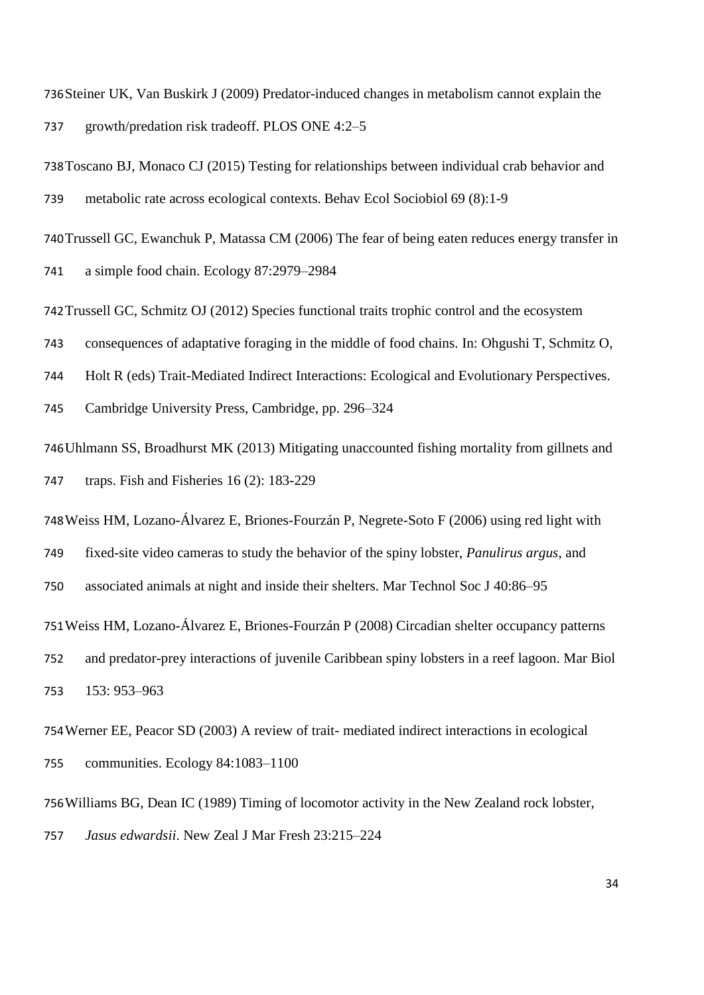Steiner UK, Van Buskirk J (2009) Predator-induced changes in metabolism cannot explain the growth/predation risk tradeoff. PLOS ONE 4:2–5

Toscano BJ, Monaco CJ (2015) Testing for relationships between individual crab behavior and

metabolic rate across ecological contexts. Behav Ecol Sociobiol 69 (8):1-9

Trussell GC, Ewanchuk P, Matassa CM (2006) The fear of being eaten reduces energy transfer in

a simple food chain. Ecology 87:2979–2984

Trussell GC, Schmitz OJ (2012) Species functional traits trophic control and the ecosystem

consequences of adaptative foraging in the middle of food chains. In: Ohgushi T, Schmitz O,

Holt R (eds) Trait-Mediated Indirect Interactions: Ecological and Evolutionary Perspectives.

Cambridge University Press, Cambridge, pp. 296–324

Uhlmann SS, Broadhurst MK (2013) Mitigating unaccounted fishing mortality from gillnets and traps. Fish and Fisheries 16 (2): 183-229

Weiss HM, Lozano-Álvarez E, Briones-Fourzán P, Negrete-Soto F (2006) using red light with

fixed-site video cameras to study the behavior of the spiny lobster, *Panulirus argus*, and

associated animals at night and inside their shelters. Mar Technol Soc J 40:86–95

Weiss HM, Lozano-Álvarez E, Briones-Fourzán P (2008) Circadian shelter occupancy patterns

 and predator-prey interactions of juvenile Caribbean spiny lobsters in a reef lagoon. Mar Biol 153: 953–963

Werner EE, Peacor SD (2003) A review of trait- mediated indirect interactions in ecological communities. Ecology 84:1083–1100

Williams BG, Dean IC (1989) Timing of locomotor activity in the New Zealand rock lobster,

*Jasus edwardsii*. New Zeal J Mar Fresh 23:215–224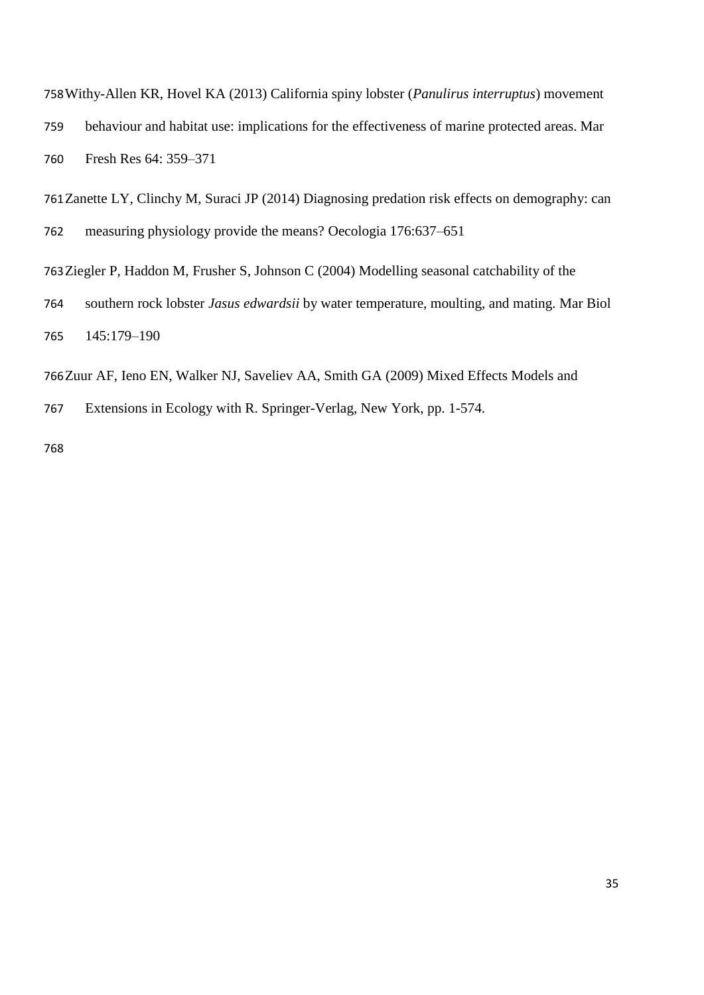Withy-Allen KR, Hovel KA (2013) California spiny lobster (*Panulirus interruptus*) movement behaviour and habitat use: implications for the effectiveness of marine protected areas. Mar Fresh Res 64: 359–371

Zanette LY, Clinchy M, Suraci JP (2014) Diagnosing predation risk effects on demography: can measuring physiology provide the means? Oecologia 176:637–651

Ziegler P, Haddon M, Frusher S, Johnson C (2004) Modelling seasonal catchability of the

 southern rock lobster *Jasus edwardsii* by water temperature, moulting, and mating. Mar Biol 145:179–190

Zuur AF, Ieno EN, Walker NJ, Saveliev AA, Smith GA (2009) Mixed Effects Models and

Extensions in Ecology with R. Springer-Verlag, New York, pp. 1-574.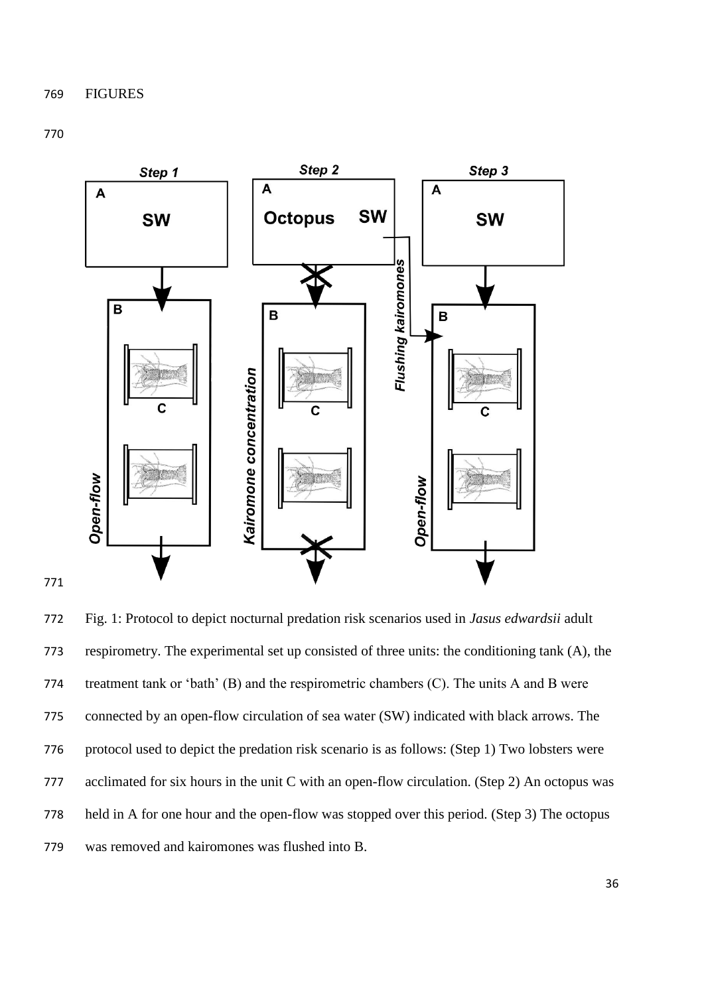

 Fig. 1: Protocol to depict nocturnal predation risk scenarios used in *Jasus edwardsii* adult respirometry. The experimental set up consisted of three units: the conditioning tank (A), the treatment tank or 'bath' (B) and the respirometric chambers (C). The units A and B were connected by an open-flow circulation of sea water (SW) indicated with black arrows. The protocol used to depict the predation risk scenario is as follows: (Step 1) Two lobsters were acclimated for six hours in the unit C with an open-flow circulation. (Step 2) An octopus was held in A for one hour and the open-flow was stopped over this period. (Step 3) The octopus was removed and kairomones was flushed into B.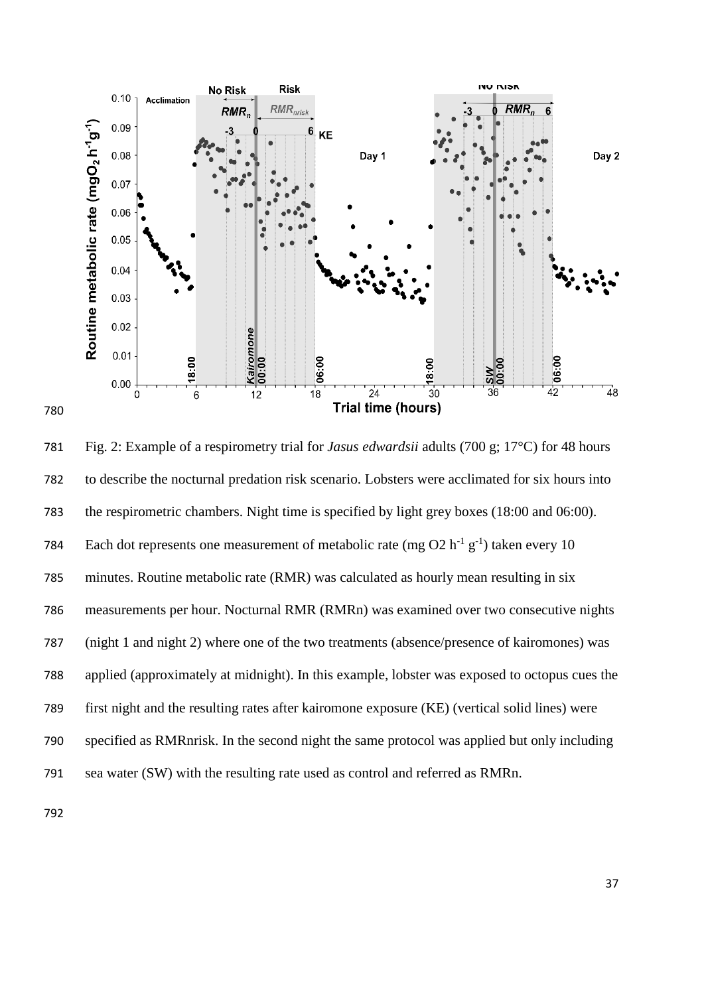

 Fig. 2: Example of a respirometry trial for *Jasus edwardsii* adults (700 g; 17°C) for 48 hours to describe the nocturnal predation risk scenario. Lobsters were acclimated for six hours into the respirometric chambers. Night time is specified by light grey boxes (18:00 and 06:00). 784 Each dot represents one measurement of metabolic rate (mg O2  $h^{-1}g^{-1}$ ) taken every 10 minutes. Routine metabolic rate (RMR) was calculated as hourly mean resulting in six measurements per hour. Nocturnal RMR (RMRn) was examined over two consecutive nights (night 1 and night 2) where one of the two treatments (absence/presence of kairomones) was applied (approximately at midnight). In this example, lobster was exposed to octopus cues the first night and the resulting rates after kairomone exposure (KE) (vertical solid lines) were specified as RMRnrisk. In the second night the same protocol was applied but only including sea water (SW) with the resulting rate used as control and referred as RMRn.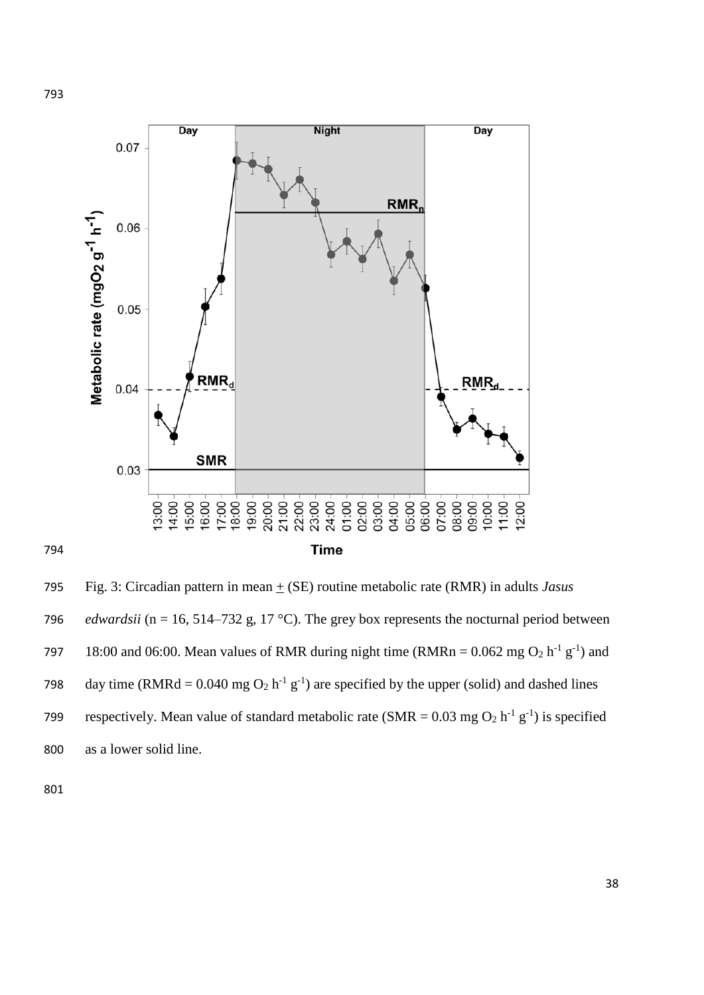

795 Fig. 3: Circadian pattern in mean  $\pm$  (SE) routine metabolic rate (RMR) in adults *Jasus* 796 *edwardsii* ( $n = 16, 514-732$  g, 17 °C). The grey box represents the nocturnal period between 797 18:00 and 06:00. Mean values of RMR during night time (RMRn =  $0.062$  mg O<sub>2</sub> h<sup>-1</sup> g<sup>-1</sup>) and 798 day time (RMRd = 0.040 mg  $O_2$  h<sup>-1</sup> g<sup>-1</sup>) are specified by the upper (solid) and dashed lines 799 respectively. Mean value of standard metabolic rate (SMR =  $0.03 \text{ mg O}_2 \text{ h}^{-1} \text{ g}^{-1}$ ) is specified 800 as a lower solid line.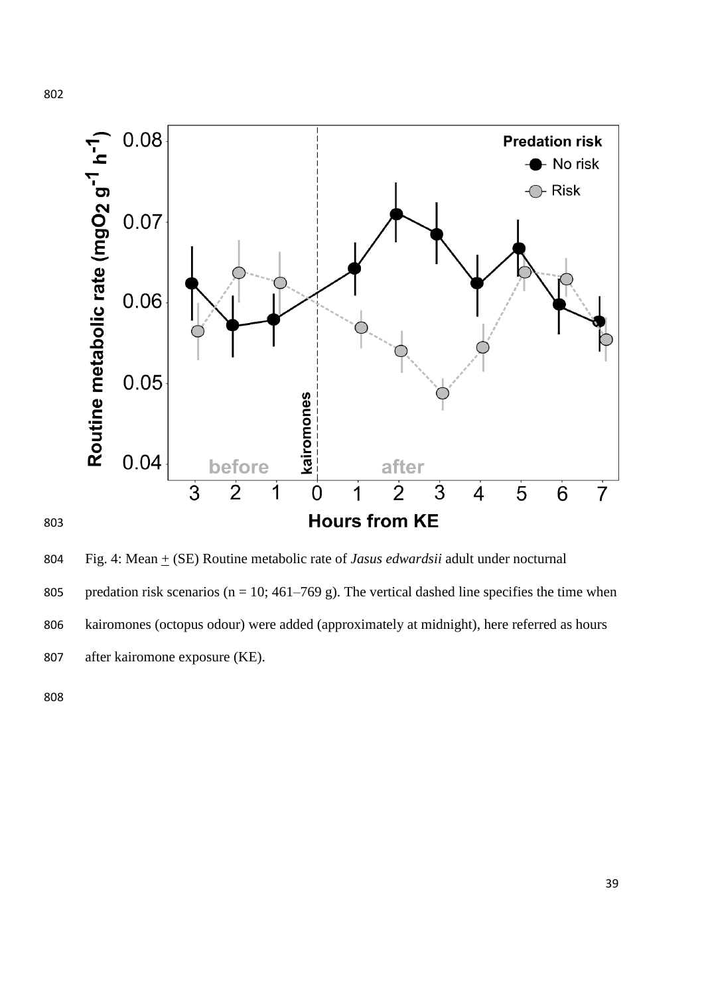

804 Fig. 4: Mean  $\pm$  (SE) Routine metabolic rate of *Jasus edwardsii* adult under nocturnal 805 predation risk scenarios ( $n = 10$ ; 461–769 g). The vertical dashed line specifies the time when kairomones (octopus odour) were added (approximately at midnight), here referred as hours after kairomone exposure (KE).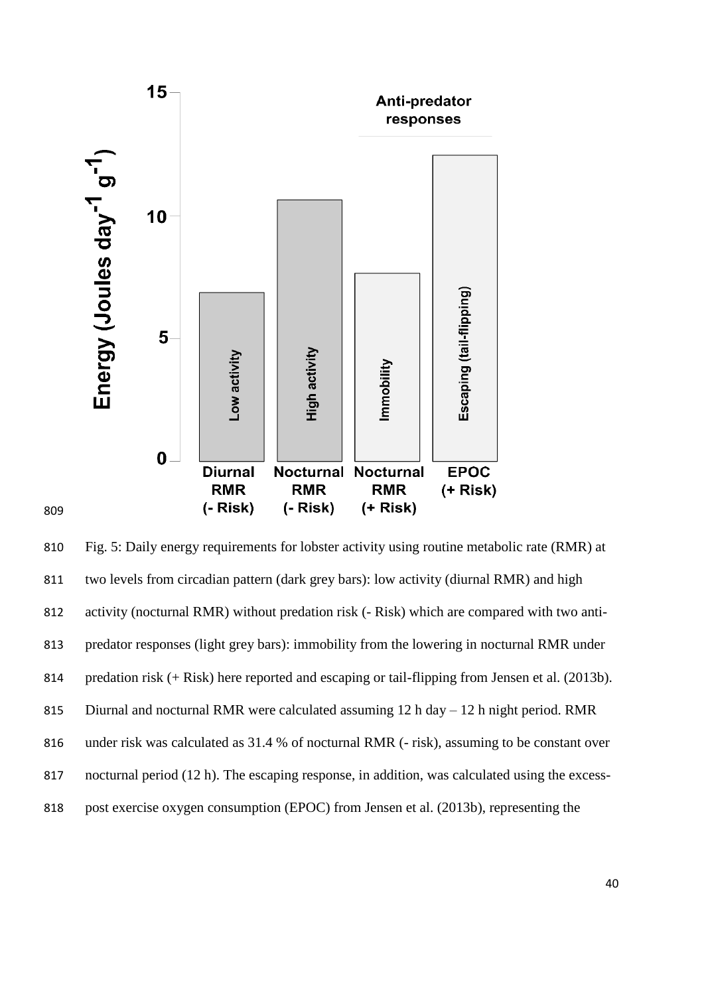

 Fig. 5: Daily energy requirements for lobster activity using routine metabolic rate (RMR) at two levels from circadian pattern (dark grey bars): low activity (diurnal RMR) and high activity (nocturnal RMR) without predation risk (- Risk) which are compared with two anti- predator responses (light grey bars): immobility from the lowering in nocturnal RMR under 814 predation risk (+ Risk) here reported and escaping or tail-flipping from Jensen et al. (2013b). Diurnal and nocturnal RMR were calculated assuming 12 h day – 12 h night period. RMR under risk was calculated as 31.4 % of nocturnal RMR (- risk), assuming to be constant over nocturnal period (12 h). The escaping response, in addition, was calculated using the excess-post exercise oxygen consumption (EPOC) from Jensen et al. (2013b), representing the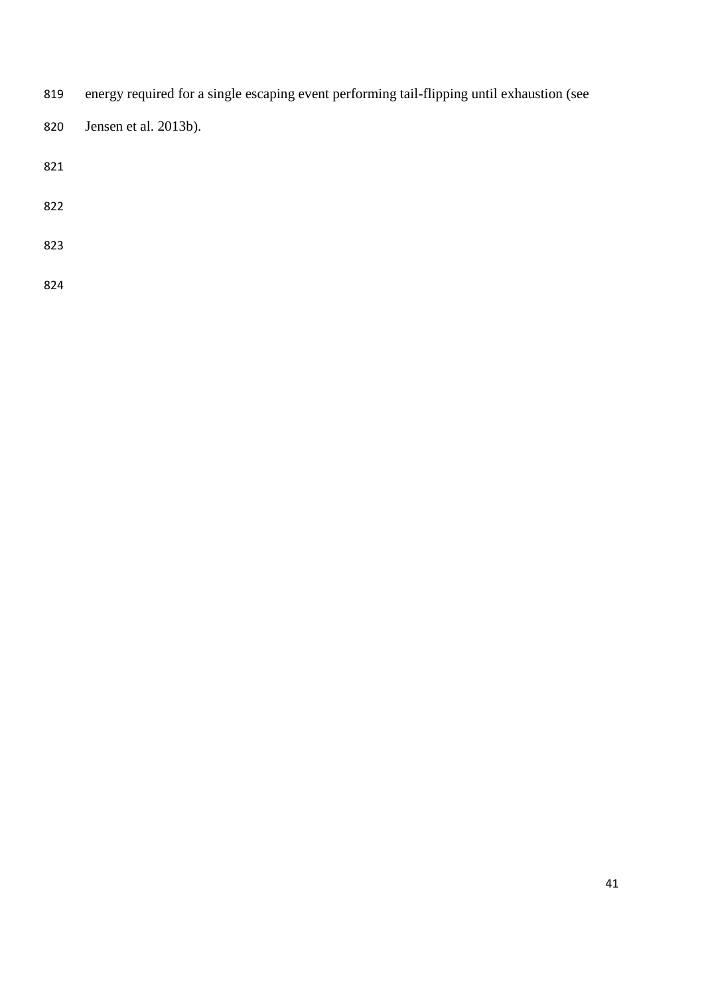- energy required for a single escaping event performing tail-flipping until exhaustion (see
- Jensen et al. 2013b).
- 
- 
- 
-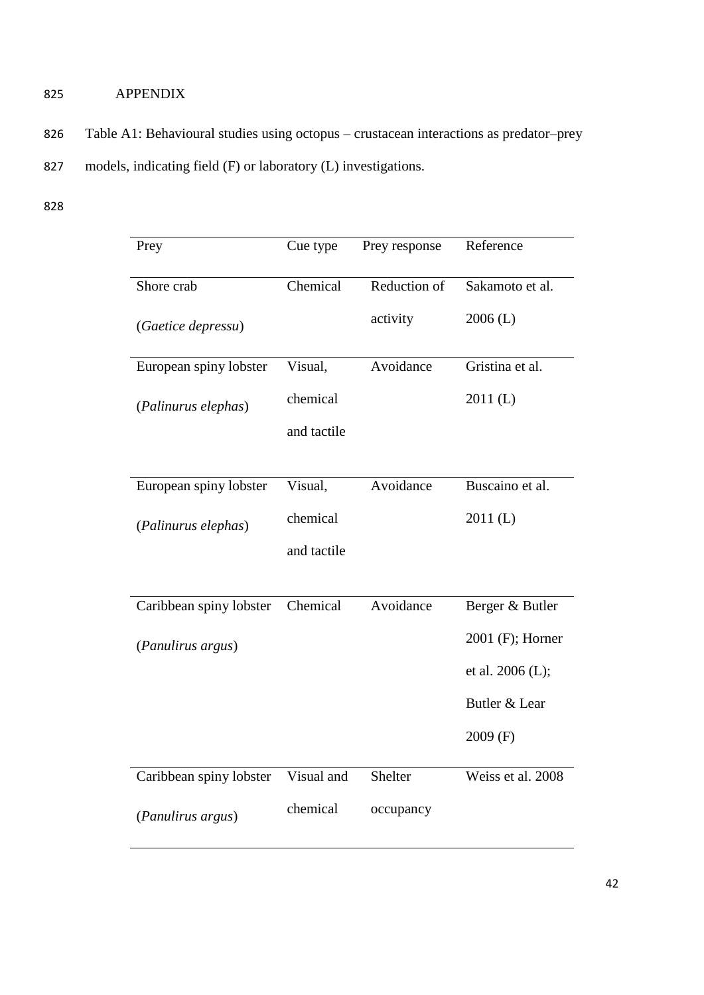# 825 APPENDIX

- 826 Table A1: Behavioural studies using octopus crustacean interactions as predator–prey 827 models, indicating field (F) or laboratory (L) investigations.
- 828

| Prey                    | Cue type    | Prey response | Reference         |
|-------------------------|-------------|---------------|-------------------|
| Shore crab              | Chemical    | Reduction of  | Sakamoto et al.   |
| (Gaetice depressu)      |             | activity      | $2006$ (L)        |
| European spiny lobster  | Visual,     | Avoidance     | Gristina et al.   |
| (Palinurus elephas)     | chemical    |               | 2011(L)           |
|                         | and tactile |               |                   |
|                         |             |               |                   |
| European spiny lobster  | Visual,     | Avoidance     | Buscaino et al.   |
| (Palinurus elephas)     | chemical    |               | 2011(L)           |
|                         | and tactile |               |                   |
|                         |             |               |                   |
| Caribbean spiny lobster | Chemical    | Avoidance     | Berger & Butler   |
| (Panulirus argus)       |             |               | 2001 (F); Horner  |
|                         |             |               | et al. 2006 (L);  |
|                         |             |               | Butler & Lear     |
|                         |             |               | $2009$ (F)        |
| Caribbean spiny lobster | Visual and  | Shelter       | Weiss et al. 2008 |
| (Panulirus argus)       | chemical    | occupancy     |                   |